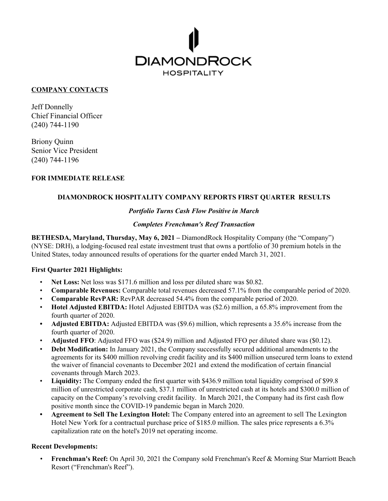

## **COMPANY CONTACTS**

Jeff Donnelly Chief Financial Officer (240) 744-1190

Briony Quinn Senior Vice President (240) 744-1196

# **FOR IMMEDIATE RELEASE**

## **DIAMONDROCK HOSPITALITY COMPANY REPORTS FIRST QUARTER RESULTS**

# *Portfolio Turns Cash Flow Positive in March*

## *Completes Frenchman's Reef Transaction*

**BETHESDA, Maryland, Thursday, May 6, 2021 – DiamondRock Hospitality Company (the "Company")** (NYSE: DRH), a lodging-focused real estate investment trust that owns a portfolio of 30 premium hotels in the United States, today announced results of operations for the quarter ended March 31, 2021.

## **First Quarter 2021 Highlights:**

- **Net Loss:** Net loss was \$171.6 million and loss per diluted share was \$0.82.
- **Comparable Revenues:** Comparable total revenues decreased 57.1% from the comparable period of 2020.
- **Comparable RevPAR:** RevPAR decreased 54.4% from the comparable period of 2020.
- **Hotel Adjusted EBITDA:** Hotel Adjusted EBITDA was (\$2.6) million, a 65.8% improvement from the fourth quarter of 2020.
- **• Adjusted EBITDA:** Adjusted EBITDA was (\$9.6) million, which represents a 35.6% increase from the fourth quarter of 2020.
- **Adjusted FFO**: Adjusted FFO was (\$24.9) million and Adjusted FFO per diluted share was (\$0.12).
- *•* **Debt Modification:** In January 2021, the Company successfully secured additional amendments to the agreements for its \$400 million revolving credit facility and its \$400 million unsecured term loans to extend the waiver of financial covenants to December 2021 and extend the modification of certain financial covenants through March 2023.
- Liquidity: The Company ended the first quarter with \$436.9 million total liquidity comprised of \$99.8 million of unrestricted corporate cash, \$37.1 million of unrestricted cash at its hotels and \$300.0 million of capacity on the Company's revolving credit facility. In March 2021, the Company had its first cash flow positive month since the COVID-19 pandemic began in March 2020.
- **• Agreement to Sell The Lexington Hotel:** The Company entered into an agreement to sell The Lexington Hotel New York for a contractual purchase price of \$185.0 million. The sales price represents a 6.3% capitalization rate on the hotel's 2019 net operating income.

# **Recent Developments:**

*•* **Frenchman's Reef:** On April 30, 2021 the Company sold Frenchman's Reef & Morning Star Marriott Beach Resort ("Frenchman's Reef").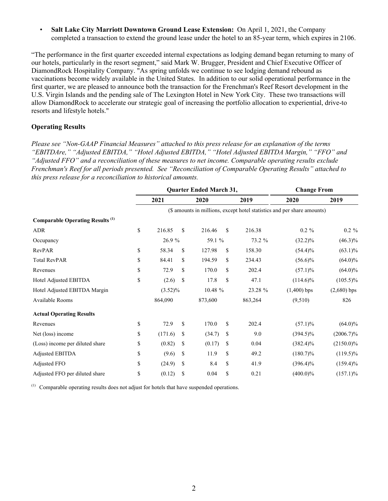• **Salt Lake City Marriott Downtown Ground Lease Extension:** On April 1, 2021, the Company completed a transaction to extend the ground lease under the hotel to an 85-year term, which expires in 2106.

"The performance in the first quarter exceeded internal expectations as lodging demand began returning to many of our hotels, particularly in the resort segment," said Mark W. Brugger, President and Chief Executive Officer of DiamondRock Hospitality Company. "As spring unfolds we continue to see lodging demand rebound as vaccinations become widely available in the United States. In addition to our solid operational performance in the first quarter, we are pleased to announce both the transaction for the Frenchman's Reef Resort development in the U.S. Virgin Islands and the pending sale of The Lexington Hotel in New York City. These two transactions will allow DiamondRock to accelerate our strategic goal of increasing the portfolio allocation to experiential, drive-to resorts and lifestyle hotels."

## **Operating Results**

*Please see "Non-GAAP Financial Measures" attached to this press release for an explanation of the terms "EBITDAre," "Adjusted EBITDA," "Hotel Adjusted EBITDA," "Hotel Adjusted EBITDA Margin," "FFO" and "Adjusted FFO" and a reconciliation of these measures to net income. Comparable operating results exclude Frenchman's Reef for all periods presented. See "Reconciliation of Comparable Operating Results" attached to this press release for a reconciliation to historical amounts.*

|                                                    |                                                                         |             | Quarter Ended March 31, |               |         | <b>Change From</b> |               |  |  |
|----------------------------------------------------|-------------------------------------------------------------------------|-------------|-------------------------|---------------|---------|--------------------|---------------|--|--|
|                                                    | 2021                                                                    |             | 2020                    |               | 2019    | 2020               | 2019          |  |  |
|                                                    | (\$ amounts in millions, except hotel statistics and per share amounts) |             |                         |               |         |                    |               |  |  |
| <b>Comparable Operating Results</b> <sup>(1)</sup> |                                                                         |             |                         |               |         |                    |               |  |  |
| ADR                                                | \$<br>216.85                                                            | \$          | 216.46                  | \$            | 216.38  | $0.2 \%$           | $0.2 \%$      |  |  |
| Occupancy                                          | 26.9 %                                                                  |             | 59.1 %                  |               | 73.2 %  | $(32.2)\%$         | $(46.3)\%$    |  |  |
| RevPAR                                             | \$<br>58.34                                                             | \$          | 127.98                  | \$            | 158.30  | $(54.4)\%$         | $(63.1)\%$    |  |  |
| <b>Total RevPAR</b>                                | \$<br>84.41                                                             | \$          | 194.59                  | \$            | 234.43  | $(56.6)\%$         | $(64.0)\%$    |  |  |
| Revenues                                           | \$<br>72.9                                                              | $\mathbf S$ | 170.0                   | <sup>\$</sup> | 202.4   | $(57.1)\%$         | $(64.0)\%$    |  |  |
| Hotel Adjusted EBITDA                              | \$<br>(2.6)                                                             | \$          | 17.8                    | \$            | 47.1    | $(114.6)\%$        | $(105.5)\%$   |  |  |
| Hotel Adjusted EBITDA Margin                       | $(3.52)\%$                                                              |             | 10.48 %                 |               | 23.28 % | $(1,400)$ bps      | $(2,680)$ bps |  |  |
| Available Rooms                                    | 864,090                                                                 |             | 873,600                 |               | 863,264 | (9,510)            | 826           |  |  |
| <b>Actual Operating Results</b>                    |                                                                         |             |                         |               |         |                    |               |  |  |
| Revenues                                           | \$<br>72.9                                                              | \$          | 170.0                   | <sup>\$</sup> | 202.4   | $(57.1)\%$         | $(64.0)\%$    |  |  |
| Net (loss) income                                  | \$<br>(171.6)                                                           | \$          | (34.7)                  | \$            | 9.0     | $(394.5)\%$        | $(2006.7)\%$  |  |  |
| (Loss) income per diluted share                    | \$<br>(0.82)                                                            | \$          | (0.17)                  | \$            | 0.04    | $(382.4)\%$        | $(2150.0)\%$  |  |  |
| Adjusted EBITDA                                    | \$<br>(9.6)                                                             | \$          | 11.9                    | \$            | 49.2    | $(180.7)\%$        | $(119.5)\%$   |  |  |
| <b>Adjusted FFO</b>                                | \$<br>(24.9)                                                            | \$          | 8.4                     | \$            | 41.9    | $(396.4)\%$        | $(159.4)\%$   |  |  |
| Adjusted FFO per diluted share                     | \$<br>(0.12)                                                            | \$          | 0.04                    | \$            | 0.21    | $(400.0)\%$        | $(157.1)\%$   |  |  |

 $<sup>(1)</sup>$  Comparable operating results does not adjust for hotels that have suspended operations.</sup>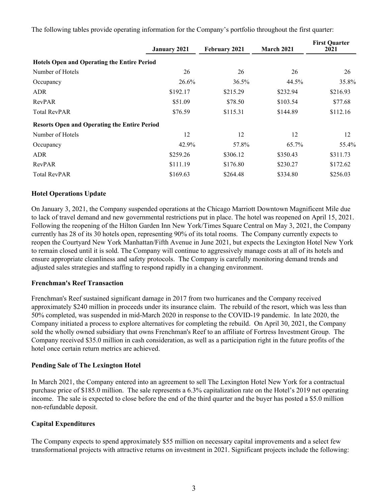|                                                     | <b>January 2021</b><br>February 2021 |          | March 2021 | <b>First Quarter</b><br>2021 |
|-----------------------------------------------------|--------------------------------------|----------|------------|------------------------------|
| <b>Hotels Open and Operating the Entire Period</b>  |                                      |          |            |                              |
| Number of Hotels                                    | 26                                   | 26       | 26         | 26                           |
| Occupancy                                           | 26.6%                                | 36.5%    | 44.5%      | 35.8%                        |
| <b>ADR</b>                                          | \$192.17                             | \$215.29 | \$232.94   | \$216.93                     |
| RevPAR                                              | \$51.09                              | \$78.50  | \$103.54   | \$77.68                      |
| <b>Total RevPAR</b>                                 | \$76.59                              | \$115.31 | \$144.89   | \$112.16                     |
| <b>Resorts Open and Operating the Entire Period</b> |                                      |          |            |                              |
| Number of Hotels                                    | 12                                   | 12       | 12         | 12                           |
| Occupancy                                           | 42.9%                                | 57.8%    | 65.7%      | 55.4%                        |
| <b>ADR</b>                                          | \$259.26                             | \$306.12 | \$350.43   | \$311.73                     |
| RevPAR                                              | \$111.19                             | \$176.80 | \$230.27   | \$172.62                     |
| <b>Total RevPAR</b>                                 | \$169.63                             | \$264.48 | \$334.80   | \$256.03                     |

The following tables provide operating information for the Company's portfolio throughout the first quarter:

## **Hotel Operations Update**

On January 3, 2021, the Company suspended operations at the Chicago Marriott Downtown Magnificent Mile due to lack of travel demand and new governmental restrictions put in place. The hotel was reopened on April 15, 2021. Following the reopening of the Hilton Garden Inn New York/Times Square Central on May 3, 2021, the Company currently has 28 of its 30 hotels open, representing 90% of its total rooms. The Company currently expects to reopen the Courtyard New York Manhattan/Fifth Avenue in June 2021, but expects the Lexington Hotel New York to remain closed until it is sold. The Company will continue to aggressively manage costs at all of its hotels and ensure appropriate cleanliness and safety protocols. The Company is carefully monitoring demand trends and adjusted sales strategies and staffing to respond rapidly in a changing environment.

## **Frenchman's Reef Transaction**

Frenchman's Reef sustained significant damage in 2017 from two hurricanes and the Company received approximately \$240 million in proceeds under its insurance claim. The rebuild of the resort, which was less than 50% completed, was suspended in mid-March 2020 in response to the COVID-19 pandemic. In late 2020, the Company initiated a process to explore alternatives for completing the rebuild. On April 30, 2021, the Company sold the wholly owned subsidiary that owns Frenchman's Reef to an affiliate of Fortress Investment Group. The Company received \$35.0 million in cash consideration, as well as a participation right in the future profits of the hotel once certain return metrics are achieved.

## **Pending Sale of The Lexington Hotel**

In March 2021, the Company entered into an agreement to sell The Lexington Hotel New York for a contractual purchase price of \$185.0 million. The sale represents a 6.3% capitalization rate on the Hotel's 2019 net operating income. The sale is expected to close before the end of the third quarter and the buyer has posted a \$5.0 million non-refundable deposit.

## **Capital Expenditures**

The Company expects to spend approximately \$55 million on necessary capital improvements and a select few transformational projects with attractive returns on investment in 2021. Significant projects include the following: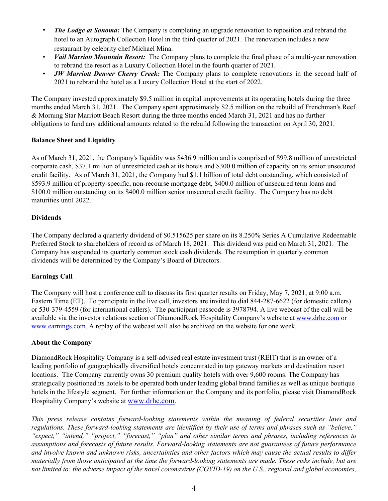- *The Lodge at Sonoma:* The Company is completing an upgrade renovation to reposition and rebrand the hotel to an Autograph Collection Hotel in the third quarter of 2021. The renovation includes a new restaurant by celebrity chef Michael Mina.
- *Vail Marriott Mountain Resort:* The Company plans to complete the final phase of a multi-year renovation to rebrand the resort as a Luxury Collection Hotel in the fourth quarter of 2021.
- *JW Marriott Denver Cherry Creek:* The Company plans to complete renovations in the second half of 2021 to rebrand the hotel as a Luxury Collection Hotel at the start of 2022.

The Company invested approximately \$9.5 million in capital improvements at its operating hotels during the three months ended March 31, 2021. The Company spent approximately \$2.5 million on the rebuild of Frenchman's Reef & Morning Star Marriott Beach Resort during the three months ended March 31, 2021 and has no further obligations to fund any additional amounts related to the rebuild following the transaction on April 30, 2021.

# **Balance Sheet and Liquidity**

As of March 31, 2021, the Company's liquidity was \$436.9 million and is comprised of \$99.8 million of unrestricted corporate cash, \$37.1 million of unrestricted cash at its hotels and \$300.0 million of capacity on its senior unsecured credit facility. As of March 31, 2021, the Company had \$1.1 billion of total debt outstanding, which consisted of \$593.9 million of property-specific, non-recourse mortgage debt, \$400.0 million of unsecured term loans and \$100.0 million outstanding on its \$400.0 million senior unsecured credit facility. The Company has no debt maturities until 2022.

## **Dividends**

The Company declared a quarterly dividend of \$0.515625 per share on its 8.250% Series A Cumulative Redeemable Preferred Stock to shareholders of record as of March 18, 2021. This dividend was paid on March 31, 2021. The Company has suspended its quarterly common stock cash dividends. The resumption in quarterly common dividends will be determined by the Company's Board of Directors.

# **Earnings Call**

The Company will host a conference call to discuss its first quarter results on Friday, May 7, 2021, at 9:00 a.m. Eastern Time (ET). To participate in the live call, investors are invited to dial 844-287-6622 (for domestic callers) or 530-379-4559 (for international callers). The participant passcode is 3978794. A live webcast of the call will be available via the investor relations section of DiamondRock Hospitality Company's website at www.drhc.com or www.earnings.com. A replay of the webcast will also be archived on the website for one week.

## **About the Company**

DiamondRock Hospitality Company is a self-advised real estate investment trust (REIT) that is an owner of a leading portfolio of geographically diversified hotels concentrated in top gateway markets and destination resort locations. The Company currently owns 30 premium quality hotels with over 9,600 rooms. The Company has strategically positioned its hotels to be operated both under leading global brand families as well as unique boutique hotels in the lifestyle segment. For further information on the Company and its portfolio, please visit DiamondRock Hospitality Company's website at www.drhc.com.

*This press release contains forward-looking statements within the meaning of federal securities laws and regulations. These forward-looking statements are identified by their use of terms and phrases such as "believe," "expect," "intend," "project," "forecast," "plan" and other similar terms and phrases, including references to assumptions and forecasts of future results. Forward-looking statements are not guarantees of future performance and involve known and unknown risks, uncertainties and other factors which may cause the actual results to differ materially from those anticipated at the time the forward-looking statements are made. These risks include, but are not limited to: the adverse impact of the novel coronavirus (COVID-19) on the U.S., regional and global economies,*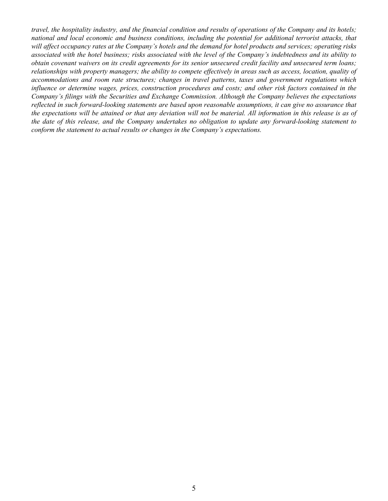*travel, the hospitality industry, and the financial condition and results of operations of the Company and its hotels; national and local economic and business conditions, including the potential for additional terrorist attacks, that will affect occupancy rates at the Company's hotels and the demand for hotel products and services; operating risks associated with the hotel business; risks associated with the level of the Company's indebtedness and its ability to obtain covenant waivers on its credit agreements for its senior unsecured credit facility and unsecured term loans; relationships with property managers; the ability to compete effectively in areas such as access, location, quality of accommodations and room rate structures; changes in travel patterns, taxes and government regulations which influence or determine wages, prices, construction procedures and costs; and other risk factors contained in the Company's filings with the Securities and Exchange Commission. Although the Company believes the expectations reflected in such forward-looking statements are based upon reasonable assumptions, it can give no assurance that the expectations will be attained or that any deviation will not be material. All information in this release is as of the date of this release, and the Company undertakes no obligation to update any forward-looking statement to conform the statement to actual results or changes in the Company's expectations.*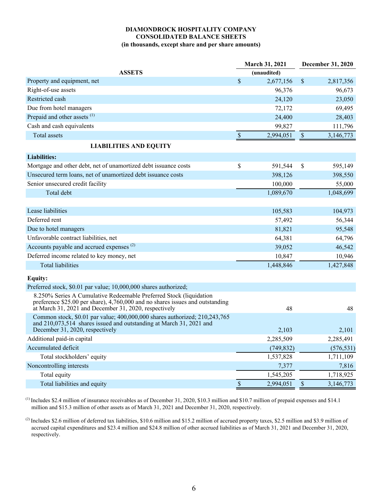### **DIAMONDROCK HOSPITALITY COMPANY CONSOLIDATED BALANCE SHEETS (in thousands, except share and per share amounts)**

|                                                                                                                                                                                                              |                           | March 31, 2021 | December 31, 2020         |            |  |
|--------------------------------------------------------------------------------------------------------------------------------------------------------------------------------------------------------------|---------------------------|----------------|---------------------------|------------|--|
| <b>ASSETS</b>                                                                                                                                                                                                |                           | (unaudited)    |                           |            |  |
| Property and equipment, net                                                                                                                                                                                  | \$                        | 2,677,156      | \$                        | 2,817,356  |  |
| Right-of-use assets                                                                                                                                                                                          |                           | 96,376         |                           | 96,673     |  |
| Restricted cash                                                                                                                                                                                              |                           | 24,120         |                           | 23,050     |  |
| Due from hotel managers                                                                                                                                                                                      |                           | 72,172         |                           | 69,495     |  |
| Prepaid and other assets <sup>(1)</sup>                                                                                                                                                                      |                           | 24,400         |                           | 28,403     |  |
| Cash and cash equivalents                                                                                                                                                                                    |                           | 99,827         |                           | 111,796    |  |
| Total assets                                                                                                                                                                                                 | $\mathbb{S}$              | 2,994,051      | $\boldsymbol{\mathsf{S}}$ | 3,146,773  |  |
| <b>LIABILITIES AND EQUITY</b>                                                                                                                                                                                |                           |                |                           |            |  |
| <b>Liabilities:</b>                                                                                                                                                                                          |                           |                |                           |            |  |
| Mortgage and other debt, net of unamortized debt issuance costs                                                                                                                                              | \$                        | 591,544        | \$                        | 595,149    |  |
| Unsecured term loans, net of unamortized debt issuance costs                                                                                                                                                 |                           | 398,126        |                           | 398,550    |  |
| Senior unsecured credit facility                                                                                                                                                                             |                           | 100,000        |                           | 55,000     |  |
| Total debt                                                                                                                                                                                                   |                           | 1,089,670      |                           | 1,048,699  |  |
|                                                                                                                                                                                                              |                           |                |                           |            |  |
| Lease liabilities                                                                                                                                                                                            |                           | 105,583        |                           | 104,973    |  |
| Deferred rent                                                                                                                                                                                                |                           | 57,492         |                           | 56,344     |  |
| Due to hotel managers                                                                                                                                                                                        |                           | 81,821         |                           | 95,548     |  |
| Unfavorable contract liabilities, net                                                                                                                                                                        |                           | 64,381         |                           | 64,796     |  |
| Accounts payable and accrued expenses <sup>(2)</sup>                                                                                                                                                         |                           | 39,052         |                           | 46,542     |  |
| Deferred income related to key money, net                                                                                                                                                                    |                           | 10,847         |                           | 10,946     |  |
| <b>Total liabilities</b>                                                                                                                                                                                     |                           | 1,448,846      |                           | 1,427,848  |  |
| <b>Equity:</b>                                                                                                                                                                                               |                           |                |                           |            |  |
| Preferred stock, \$0.01 par value; 10,000,000 shares authorized;                                                                                                                                             |                           |                |                           |            |  |
| 8.250% Series A Cumulative Redeemable Preferred Stock (liquidation<br>preference \$25.00 per share), 4,760,000 and no shares issues and outstanding<br>at March 31, 2021 and December 31, 2020, respectively |                           | 48             |                           | 48         |  |
| Common stock, \$0.01 par value; 400,000,000 shares authorized; 210,243,765<br>and 210,073,514 shares issued and outstanding at March 31, 2021 and<br>December 31, 2020, respectively                         |                           | 2,103          |                           | 2,101      |  |
| Additional paid-in capital                                                                                                                                                                                   |                           | 2,285,509      |                           | 2,285,491  |  |
| Accumulated deficit                                                                                                                                                                                          |                           | (749, 832)     |                           | (576, 531) |  |
| Total stockholders' equity                                                                                                                                                                                   |                           | 1,537,828      |                           | 1,711,109  |  |
| Noncontrolling interests                                                                                                                                                                                     |                           | 7,377          |                           | 7,816      |  |
| Total equity                                                                                                                                                                                                 |                           | 1,545,205      |                           | 1,718,925  |  |
| Total liabilities and equity                                                                                                                                                                                 | $\boldsymbol{\mathsf{S}}$ | 2,994,051      | $\boldsymbol{\mathsf{S}}$ | 3,146,773  |  |

 $^{(1)}$  Includes \$2.4 million of insurance receivables as of December 31, 2020, \$10.3 million and \$10.7 million of prepaid expenses and \$14.1 million and \$15.3 million of other assets as of March 31, 2021 and December 31, 2020, respectively.

(2) Includes \$2.6 million of deferred tax liabilities, \$10.6 million and \$15.2 million of accrued property taxes, \$2.5 million and \$3.9 million of accrued capital expenditures and \$23.4 million and \$24.8 million of other accrued liabilities as of March 31, 2021 and December 31, 2020, respectively.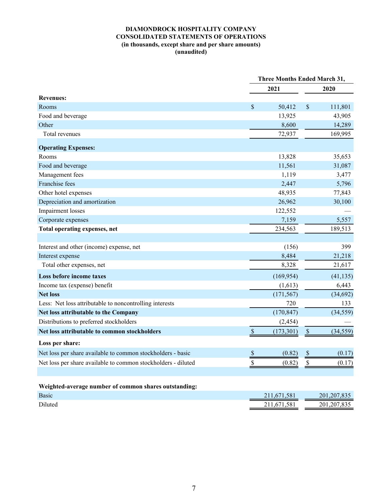## **DIAMONDROCK HOSPITALITY COMPANY CONSOLIDATED STATEMENTS OF OPERATIONS (in thousands, except share and per share amounts) (unaudited)**

|                                                               | <b>Three Months Ended March 31,</b> |            |                          |           |  |
|---------------------------------------------------------------|-------------------------------------|------------|--------------------------|-----------|--|
|                                                               | 2021                                |            |                          | 2020      |  |
| <b>Revenues:</b>                                              |                                     |            |                          |           |  |
| Rooms                                                         | $\mathbf S$                         | 50,412     | $\$$                     | 111,801   |  |
| Food and beverage                                             |                                     | 13,925     |                          | 43,905    |  |
| Other                                                         |                                     | 8,600      |                          | 14,289    |  |
| Total revenues                                                |                                     | 72,937     |                          | 169,995   |  |
| <b>Operating Expenses:</b>                                    |                                     |            |                          |           |  |
| Rooms                                                         |                                     | 13,828     |                          | 35,653    |  |
| Food and beverage                                             |                                     | 11,561     |                          | 31,087    |  |
| Management fees                                               |                                     | 1,119      |                          | 3,477     |  |
| Franchise fees                                                |                                     | 2,447      |                          | 5,796     |  |
| Other hotel expenses                                          |                                     | 48,935     |                          | 77,843    |  |
| Depreciation and amortization                                 |                                     | 26,962     |                          | 30,100    |  |
| Impairment losses                                             |                                     | 122,552    |                          |           |  |
| Corporate expenses                                            |                                     | 7,159      |                          | 5,557     |  |
| Total operating expenses, net                                 |                                     | 234,563    |                          | 189,513   |  |
|                                                               |                                     |            |                          |           |  |
| Interest and other (income) expense, net                      |                                     | (156)      |                          | 399       |  |
| Interest expense                                              |                                     | 8,484      |                          | 21,218    |  |
| Total other expenses, net                                     |                                     | 8,328      |                          | 21,617    |  |
| Loss before income taxes                                      |                                     | (169, 954) |                          | (41, 135) |  |
| Income tax (expense) benefit                                  |                                     | (1,613)    |                          | 6,443     |  |
| <b>Net loss</b>                                               |                                     | (171, 567) |                          | (34, 692) |  |
| Less: Net loss attributable to noncontrolling interests       |                                     | 720        |                          | 133       |  |
| Net loss attributable to the Company                          |                                     | (170, 847) |                          | (34, 559) |  |
| Distributions to preferred stockholders                       |                                     | (2, 454)   |                          |           |  |
| Net loss attributable to common stockholders                  | $\mathcal{S}$                       | (173, 301) | $\mathbb{S}$             | (34, 559) |  |
| Loss per share:                                               |                                     |            |                          |           |  |
| Net loss per share available to common stockholders - basic   | $\sqrt{\frac{2}{5}}$                | (0.82)     | $\mathcal{S}$            | (0.17)    |  |
| Net loss per share available to common stockholders - diluted | $\mathbb{S}$                        | (0.82)     | $\overline{\mathcal{L}}$ | (0.17)    |  |
|                                                               |                                     |            |                          |           |  |
| Weighted-average number of common shares outstanding:         |                                     |            |                          |           |  |

| <b>Basic</b> | 211,671<br>1.581 | 201.207.835   |
|--------------|------------------|---------------|
| Diluted      | .67'<br>'1.581   | 201, 207, 835 |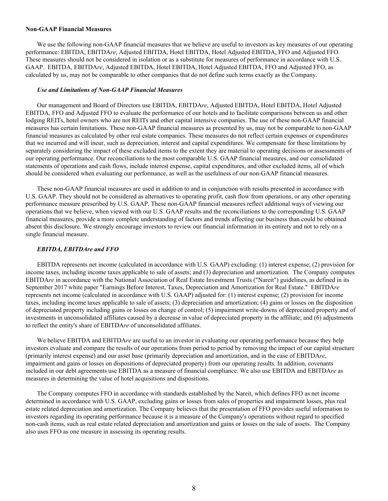#### **Non-GAAP Financial Measures**

We use the following non-GAAP financial measures that we believe are useful to investors as key measures of our operating performance: EBITDA, EBITDA*re*, Adjusted EBITDA, Hotel EBITDA, Hotel Adjusted EBITDA, FFO and Adjusted FFO. These measures should not be considered in isolation or as a substitute for measures of performance in accordance with U.S. GAAP. EBITDA, EBITDA*re*, Adjusted EBITDA, Hotel EBITDA, Hotel Adjusted EBITDA, FFO and Adjusted FFO, as calculated by us, may not be comparable to other companies that do not define such terms exactly as the Company.

#### *Use and Limitations of Non-GAAP Financial Measures*

Our management and Board of Directors use EBITDA, EBITDA*re*, Adjusted EBITDA, Hotel EBITDA, Hotel Adjusted EBITDA, FFO and Adjusted FFO to evaluate the performance of our hotels and to facilitate comparisons between us and other lodging REITs, hotel owners who are not REITs and other capital intensive companies. The use of these non-GAAP financial measures has certain limitations. These non-GAAP financial measures as presented by us, may not be comparable to non-GAAP financial measures as calculated by other real estate companies. These measures do not reflect certain expenses or expenditures that we incurred and will incur, such as depreciation, interest and capital expenditures. We compensate for these limitations by separately considering the impact of these excluded items to the extent they are material to operating decisions or assessments of our operating performance. Our reconciliations to the most comparable U.S. GAAP financial measures, and our consolidated statements of operations and cash flows, include interest expense, capital expenditures, and other excluded items, all of which should be considered when evaluating our performance, as well as the usefulness of our non-GAAP financial measures.

These non-GAAP financial measures are used in addition to and in conjunction with results presented in accordance with U.S. GAAP. They should not be considered as alternatives to operating profit, cash flow from operations, or any other operating performance measure prescribed by U.S. GAAP. These non-GAAP financial measures reflect additional ways of viewing our operations that we believe, when viewed with our U.S. GAAP results and the reconciliations to the corresponding U.S. GAAP financial measures, provide a more complete understanding of factors and trends affecting our business than could be obtained absent this disclosure. We strongly encourage investors to review our financial information in its entirety and not to rely on a single financial measure.

#### *EBITDA, EBITDAre and FFO*

EBITDA represents net income (calculated in accordance with U.S. GAAP) excluding: (1) interest expense; (2) provision for income taxes, including income taxes applicable to sale of assets; and (3) depreciation and amortization. The Company computes EBITDA*re* in accordance with the National Association of Real Estate Investment Trusts ("Nareit") guidelines, as defined in its September 2017 white paper "Earnings Before Interest, Taxes, Depreciation and Amortization for Real Estate." EBITDA*re* represents net income (calculated in accordance with U.S. GAAP) adjusted for: (1) interest expense; (2) provision for income taxes, including income taxes applicable to sale of assets; (3) depreciation and amortization; (4) gains or losses on the disposition of depreciated property including gains or losses on change of control; (5) impairment write-downs of depreciated property and of investments in unconsolidated affiliates caused by a decrease in value of depreciated property in the affiliate; and (6) adjustments to reflect the entity's share of EBITDA*re* of unconsolidated affiliates.

We believe EBITDA and EBITDA*re* are useful to an investor in evaluating our operating performance because they help investors evaluate and compare the results of our operations from period to period by removing the impact of our capital structure (primarily interest expense) and our asset base (primarily depreciation and amortization, and in the case of EBITDA*re*, impairment and gains or losses on dispositions of depreciated property) from our operating results. In addition, covenants included in our debt agreements use EBITDA as a measure of financial compliance. We also use EBITDA and EBITDA*re* as measures in determining the value of hotel acquisitions and dispositions.

The Company computes FFO in accordance with standards established by the Nareit, which defines FFO as net income determined in accordance with U.S. GAAP, excluding gains or losses from sales of properties and impairment losses, plus real estate related depreciation and amortization. The Company believes that the presentation of FFO provides useful information to investors regarding its operating performance because it is a measure of the Company's operations without regard to specified non-cash items, such as real estate related depreciation and amortization and gains or losses on the sale of assets. The Company also uses FFO as one measure in assessing its operating results.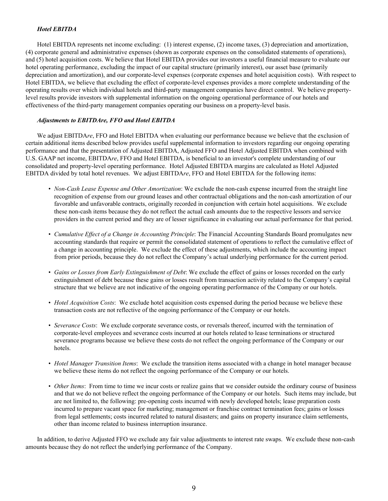#### *Hotel EBITDA*

Hotel EBITDA represents net income excluding: (1) interest expense, (2) income taxes, (3) depreciation and amortization, (4) corporate general and administrative expenses (shown as corporate expenses on the consolidated statements of operations), and (5) hotel acquisition costs. We believe that Hotel EBITDA provides our investors a useful financial measure to evaluate our hotel operating performance, excluding the impact of our capital structure (primarily interest), our asset base (primarily depreciation and amortization), and our corporate-level expenses (corporate expenses and hotel acquisition costs). With respect to Hotel EBITDA, we believe that excluding the effect of corporate-level expenses provides a more complete understanding of the operating results over which individual hotels and third-party management companies have direct control. We believe propertylevel results provide investors with supplemental information on the ongoing operational performance of our hotels and effectiveness of the third-party management companies operating our business on a property-level basis.

#### *Adjustments to EBITDAre, FFO and Hotel EBITDA*

We adjust EBITDA*re*, FFO and Hotel EBITDA when evaluating our performance because we believe that the exclusion of certain additional items described below provides useful supplemental information to investors regarding our ongoing operating performance and that the presentation of Adjusted EBITDA, Adjusted FFO and Hotel Adjusted EBITDA when combined with U.S. GAAP net income, EBITDA*re*, FFO and Hotel EBITDA, is beneficial to an investor's complete understanding of our consolidated and property-level operating performance. Hotel Adjusted EBITDA margins are calculated as Hotel Adjusted EBITDA divided by total hotel revenues. We adjust EBITDA*re*, FFO and Hotel EBITDA for the following items:

- *Non-Cash Lease Expense and Other Amortization*: We exclude the non-cash expense incurred from the straight line recognition of expense from our ground leases and other contractual obligations and the non-cash amortization of our favorable and unfavorable contracts, originally recorded in conjunction with certain hotel acquisitions. We exclude these non-cash items because they do not reflect the actual cash amounts due to the respective lessors and service providers in the current period and they are of lesser significance in evaluating our actual performance for that period.
- *Cumulative Effect of a Change in Accounting Principle*: The Financial Accounting Standards Board promulgates new accounting standards that require or permit the consolidated statement of operations to reflect the cumulative effect of a change in accounting principle. We exclude the effect of these adjustments, which include the accounting impact from prior periods, because they do not reflect the Company's actual underlying performance for the current period.
- *Gains or Losses from Early Extinguishment of Debt*: We exclude the effect of gains or losses recorded on the early extinguishment of debt because these gains or losses result from transaction activity related to the Company's capital structure that we believe are not indicative of the ongoing operating performance of the Company or our hotels.
- *Hotel Acquisition Costs*: We exclude hotel acquisition costs expensed during the period because we believe these transaction costs are not reflective of the ongoing performance of the Company or our hotels.
- *Severance Costs*: We exclude corporate severance costs, or reversals thereof, incurred with the termination of corporate-level employees and severance costs incurred at our hotels related to lease terminations or structured severance programs because we believe these costs do not reflect the ongoing performance of the Company or our hotels.
- *Hotel Manager Transition Items*: We exclude the transition items associated with a change in hotel manager because we believe these items do not reflect the ongoing performance of the Company or our hotels.
- *Other Items*: From time to time we incur costs or realize gains that we consider outside the ordinary course of business and that we do not believe reflect the ongoing performance of the Company or our hotels. Such items may include, but are not limited to, the following: pre-opening costs incurred with newly developed hotels; lease preparation costs incurred to prepare vacant space for marketing; management or franchise contract termination fees; gains or losses from legal settlements; costs incurred related to natural disasters; and gains on property insurance claim settlements, other than income related to business interruption insurance.

In addition, to derive Adjusted FFO we exclude any fair value adjustments to interest rate swaps. We exclude these non-cash amounts because they do not reflect the underlying performance of the Company.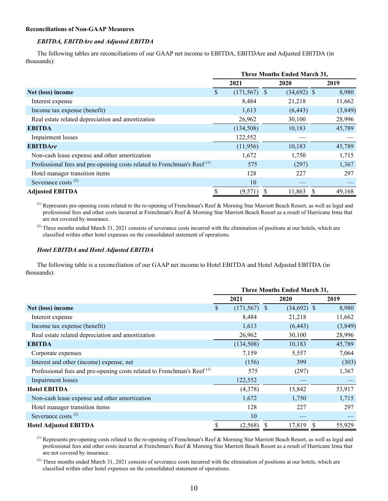#### **Reconciliations of Non-GAAP Measures**

#### *EBITDA, EBITDAre and Adjusted EBITDA*

The following tables are reconciliations of our GAAP net income to EBITDA, EBITDAre and Adjusted EBITDA (in thousands):

|                                                                                    | <b>Three Months Ended March 31,</b> |                 |  |               |  |         |  |  |  |
|------------------------------------------------------------------------------------|-------------------------------------|-----------------|--|---------------|--|---------|--|--|--|
|                                                                                    |                                     | 2021            |  | 2020          |  | 2019    |  |  |  |
| Net (loss) income                                                                  | \$.                                 | $(171, 567)$ \$ |  | $(34,692)$ \$ |  | 8,980   |  |  |  |
| Interest expense                                                                   |                                     | 8,484           |  | 21,218        |  | 11,662  |  |  |  |
| Income tax expense (benefit)                                                       |                                     | 1,613           |  | (6, 443)      |  | (3,849) |  |  |  |
| Real estate related depreciation and amortization                                  |                                     | 26,962          |  | 30,100        |  | 28,996  |  |  |  |
| <b>EBITDA</b>                                                                      |                                     | (134,508)       |  | 10,183        |  | 45,789  |  |  |  |
| Impairment losses                                                                  |                                     | 122,552         |  |               |  |         |  |  |  |
| <b>EBITDAre</b>                                                                    |                                     | (11,956)        |  | 10,183        |  | 45,789  |  |  |  |
| Non-cash lease expense and other amortization                                      |                                     | 1,672           |  | 1,750         |  | 1,715   |  |  |  |
| Professional fees and pre-opening costs related to Frenchman's Reef <sup>(1)</sup> |                                     | 575             |  | (297)         |  | 1,367   |  |  |  |
| Hotel manager transition items                                                     |                                     | 128             |  | 227           |  | 297     |  |  |  |
| Severance costs $^{(2)}$                                                           |                                     | 10              |  |               |  |         |  |  |  |
| <b>Adjusted EBITDA</b>                                                             |                                     | (9,571)         |  | 11,863        |  | 49,168  |  |  |  |

<sup>(1)</sup> Represents pre-opening costs related to the re-opening of Frenchman's Reef & Morning Star Marriott Beach Resort, as well as legal and professional fees and other costs incurred at Frenchman's Reef & Morning Star Marriott Beach Resort as a result of Hurricane Irma that are not covered by insurance.

 $^{(2)}$  Three months ended March 31, 2021 consists of severance costs incurred with the elimination of positions at our hotels, which are classified within other hotel expenses on the consolidated statement of operations.

#### *Hotel EBITDA and Hotel Adjusted EBITDA*

The following table is a reconciliation of our GAAP net income to Hotel EBITDA and Hotel Adjusted EBITDA (in thousands):

|                                                                                    | <b>Three Months Ended March 31,</b> |                 |  |               |   |         |  |  |
|------------------------------------------------------------------------------------|-------------------------------------|-----------------|--|---------------|---|---------|--|--|
|                                                                                    |                                     | 2021            |  | 2020          |   | 2019    |  |  |
| Net (loss) income                                                                  |                                     | $(171, 567)$ \$ |  | $(34,692)$ \$ |   | 8,980   |  |  |
| Interest expense                                                                   |                                     | 8,484           |  | 21,218        |   | 11,662  |  |  |
| Income tax expense (benefit)                                                       |                                     | 1,613           |  | (6, 443)      |   | (3,849) |  |  |
| Real estate related depreciation and amortization                                  |                                     | 26,962          |  | 30,100        |   | 28,996  |  |  |
| <b>EBITDA</b>                                                                      |                                     | (134, 508)      |  | 10,183        |   | 45,789  |  |  |
| Corporate expenses                                                                 |                                     | 7,159           |  | 5,557         |   | 7,064   |  |  |
| Interest and other (income) expense, net                                           |                                     | (156)           |  | 399           |   | (303)   |  |  |
| Professional fees and pre-opening costs related to Frenchman's Reef <sup>(1)</sup> |                                     | 575             |  | (297)         |   | 1,367   |  |  |
| Impairment losses                                                                  |                                     | 122,552         |  |               |   |         |  |  |
| <b>Hotel EBITDA</b>                                                                |                                     | (4,378)         |  | 15,842        |   | 53,917  |  |  |
| Non-cash lease expense and other amortization                                      |                                     | 1,672           |  | 1,750         |   | 1,715   |  |  |
| Hotel manager transition items                                                     |                                     | 128             |  | 227           |   | 297     |  |  |
| Severance costs $^{(2)}$                                                           |                                     | 10              |  |               |   |         |  |  |
| <b>Hotel Adjusted EBITDA</b>                                                       | \$                                  | (2, 568)        |  | 17,819        | S | 55,929  |  |  |

<sup>(1)</sup> Represents pre-opening costs related to the re-opening of Frenchman's Reef & Morning Star Marriott Beach Resort, as well as legal and professional fees and other costs incurred at Frenchman's Reef & Morning Star Marriott Beach Resort as a result of Hurricane Irma that are not covered by insurance.

 $^{(2)}$  Three months ended March 31, 2021 consists of severance costs incurred with the elimination of positions at our hotels, which are classified within other hotel expenses on the consolidated statement of operations.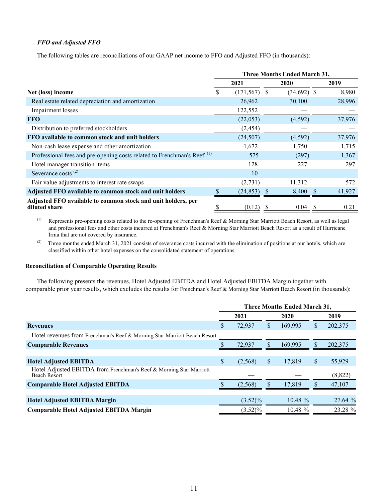### *FFO and Adjusted FFO*

The following tables are reconciliations of our GAAP net income to FFO and Adjusted FFO (in thousands):

|                                                                                    | <b>Three Months Ended March 31,</b> |                 |      |               |   |        |  |  |  |
|------------------------------------------------------------------------------------|-------------------------------------|-----------------|------|---------------|---|--------|--|--|--|
|                                                                                    |                                     | 2021            | 2020 |               |   | 2019   |  |  |  |
| Net (loss) income                                                                  |                                     | $(171, 567)$ \$ |      | $(34,692)$ \$ |   | 8,980  |  |  |  |
| Real estate related depreciation and amortization                                  |                                     | 26,962          |      | 30,100        |   | 28,996 |  |  |  |
| Impairment losses                                                                  |                                     | 122,552         |      |               |   |        |  |  |  |
| <b>FFO</b>                                                                         |                                     | (22,053)        |      | (4,592)       |   | 37,976 |  |  |  |
| Distribution to preferred stockholders                                             |                                     | (2, 454)        |      |               |   |        |  |  |  |
| FFO available to common stock and unit holders                                     |                                     | (24, 507)       |      | (4,592)       |   | 37,976 |  |  |  |
| Non-cash lease expense and other amortization                                      |                                     | 1,672           |      | 1,750         |   | 1,715  |  |  |  |
| Professional fees and pre-opening costs related to Frenchman's Reef <sup>(1)</sup> |                                     | 575             |      | (297)         |   | 1,367  |  |  |  |
| Hotel manager transition items                                                     |                                     | 128             |      | 227           |   | 297    |  |  |  |
| Severance costs $^{(2)}$                                                           |                                     | 10              |      |               |   |        |  |  |  |
| Fair value adjustments to interest rate swaps                                      |                                     | (2,731)         |      | 11,312        |   | 572    |  |  |  |
| Adjusted FFO available to common stock and unit holders                            |                                     | (24, 853)       |      | 8,400         |   | 41,927 |  |  |  |
| Adjusted FFO available to common stock and unit holders, per<br>diluted share      |                                     | (0.12)          | S    | 0.04          | S | 0.21   |  |  |  |

(1) Represents pre-opening costs related to the re-opening of Frenchman's Reef & Morning Star Marriott Beach Resort, as well as legal and professional fees and other costs incurred at Frenchman's Reef & Morning Star Marriott Beach Resort as a result of Hurricane Irma that are not covered by insurance.

<sup>(2)</sup> Three months ended March 31, 2021 consists of severance costs incurred with the elimination of positions at our hotels, which are classified within other hotel expenses on the consolidated statement of operations.

#### **Reconciliation of Comparable Operating Results**

The following presents the revenues, Hotel Adjusted EBITDA and Hotel Adjusted EBITDA Margin together with comparable prior year results, which excludes the results for Frenchman's Reef & Morning Star Marriott Beach Resort (in thousands):

|                                                                                            | <b>Three Months Ended March 31,</b> |            |      |            |    |         |  |  |  |
|--------------------------------------------------------------------------------------------|-------------------------------------|------------|------|------------|----|---------|--|--|--|
|                                                                                            |                                     | 2021       | 2020 |            |    | 2019    |  |  |  |
| <b>Revenues</b>                                                                            | \$                                  | 72,937     | \$   | 169,995    | S  | 202,375 |  |  |  |
| Hotel revenues from Frenchman's Reef & Morning Star Marriott Beach Resort                  |                                     |            |      |            |    |         |  |  |  |
| <b>Comparable Revenues</b>                                                                 |                                     | 72,937     | S.   | 169.995    |    | 202,375 |  |  |  |
|                                                                                            |                                     |            |      |            |    |         |  |  |  |
| <b>Hotel Adjusted EBITDA</b>                                                               | \$                                  | (2,568)    | \$   | 17,819     | \$ | 55,929  |  |  |  |
| Hotel Adjusted EBITDA from Frenchman's Reef & Morning Star Marriott<br><b>Beach Resort</b> |                                     |            |      |            |    | (8,822) |  |  |  |
| <b>Comparable Hotel Adjusted EBITDA</b>                                                    |                                     | (2,568)    |      | 17,819     |    | 47,107  |  |  |  |
|                                                                                            |                                     |            |      |            |    |         |  |  |  |
| <b>Hotel Adjusted EBITDA Margin</b>                                                        |                                     | $(3.52)\%$ |      | $10.48 \%$ |    | 27.64 % |  |  |  |
| Comparable Hotel Adjusted EBITDA Margin                                                    |                                     | $(3.52)\%$ |      | 10.48 %    |    | 23.28 % |  |  |  |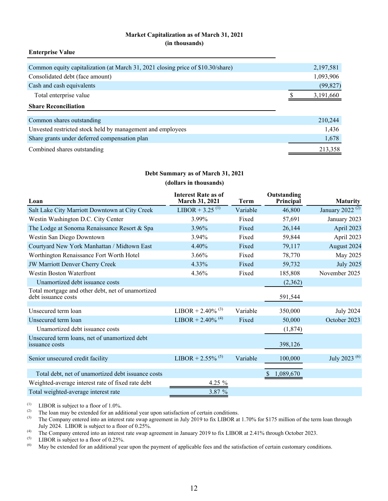## **Market Capitalization as of March 31, 2021 (in thousands)**

#### **Enterprise Value**

| Common equity capitalization (at March 31, 2021 closing price of \$10.30/share) | 2,197,581 |
|---------------------------------------------------------------------------------|-----------|
| Consolidated debt (face amount)                                                 | 1,093,906 |
| Cash and cash equivalents                                                       | (99, 827) |
| Total enterprise value                                                          | 3,191,660 |
| <b>Share Reconciliation</b>                                                     |           |
|                                                                                 |           |
| Common shares outstanding                                                       | 210,244   |
| Unvested restricted stock held by management and employees                      | 1,436     |
| Share grants under deferred compensation plan                                   | 1,678     |
| Combined shares outstanding                                                     | 213,358   |

## **Debt Summary as of March 31, 2021 (dollars in thousands)**

| Loan                                                                     | <b>Interest Rate as of</b><br><b>March 31, 2021</b> | <b>Term</b> | Outstanding<br>Principal | <b>Maturity</b>             |
|--------------------------------------------------------------------------|-----------------------------------------------------|-------------|--------------------------|-----------------------------|
| Salt Lake City Marriott Downtown at City Creek                           | LIBOR + 3.25 <sup>(1)</sup>                         | Variable    | 46,800                   | January 2022 <sup>(2)</sup> |
| Westin Washington D.C. City Center                                       | 3.99%                                               | Fixed       | 57,691                   | January 2023                |
| The Lodge at Sonoma Renaissance Resort & Spa                             | 3.96%                                               | Fixed       | 26,144                   | April 2023                  |
| Westin San Diego Downtown                                                | 3.94%                                               | Fixed       | 59,844                   | April 2023                  |
| Courtyard New York Manhattan / Midtown East                              | 4.40%                                               | Fixed       | 79,117                   | August 2024                 |
| Worthington Renaissance Fort Worth Hotel                                 | 3.66%                                               | Fixed       | 78,770                   | May 2025                    |
| <b>JW Marriott Denver Cherry Creek</b>                                   | 4.33%                                               | Fixed       | 59,732                   | <b>July 2025</b>            |
| <b>Westin Boston Waterfront</b>                                          | 4.36%                                               | Fixed       | 185,808                  | November 2025               |
| Unamortized debt issuance costs                                          |                                                     |             | (2,362)                  |                             |
| Total mortgage and other debt, net of unamortized<br>debt issuance costs |                                                     |             | 591,544                  |                             |
| Unsecured term loan                                                      | LIBOR + 2.40% $^{(3)}$                              | Variable    | 350,000                  | <b>July 2024</b>            |
| Unsecured term loan                                                      | LIBOR + 2.40% <sup>(4)</sup>                        | Fixed       | 50,000                   | October 2023                |
| Unamortized debt issuance costs                                          |                                                     |             | (1,874)                  |                             |
| Unsecured term loans, net of unamortized debt<br>issuance costs          |                                                     |             | 398,126                  |                             |
| Senior unsecured credit facility                                         | LIBOR + 2.55% $^{(5)}$                              | Variable    | 100,000                  | July 2023 <sup>(6)</sup>    |
| Total debt, net of unamortized debt issuance costs                       |                                                     |             | 1,089,670                |                             |
| Weighted-average interest rate of fixed rate debt                        | 4.25 $%$                                            |             |                          |                             |
| Total weighted-average interest rate                                     | 3.87 %                                              |             |                          |                             |

(1) LIBOR is subject to a floor of 1.0%.<br>(2) The loan may be extended for an add

(2) The loan may be extended for an additional year upon satisfaction of certain conditions.<br>
(3) The Company entered into an interest rate swap agreement in July 2019 to fix I IBOR at

The Company entered into an interest rate swap agreement in July 2019 to fix LIBOR at 1.70% for \$175 million of the term loan through July 2024. LIBOR is subject to a floor of 0.25%.

(4) The Company entered into an interest rate swap agreement in January 2019 to fix LIBOR at 2.41% through October 2023.<br>(5) I IBOR is subject to a floor of 0.25%

(5) LIBOR is subject to a floor of 0.25%.<br>(6) May be extended for an additional year.

May be extended for an additional year upon the payment of applicable fees and the satisfaction of certain customary conditions.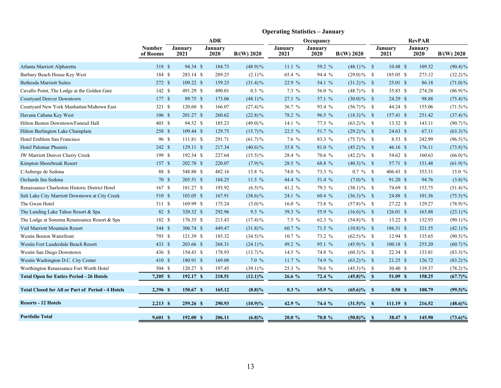|                                                          |                           |                        |                        |              | <b>Operating Statistics - January</b> |                        |               |              |                 |                 |              |
|----------------------------------------------------------|---------------------------|------------------------|------------------------|--------------|---------------------------------------|------------------------|---------------|--------------|-----------------|-----------------|--------------|
|                                                          |                           |                        | <b>ADR</b>             |              |                                       | Occupancy              |               |              |                 |                 |              |
|                                                          | <b>Number</b><br>of Rooms | <b>January</b><br>2021 | <b>January</b><br>2020 | $B/(W)$ 2020 | January<br>2021                       | <b>January</b><br>2020 | $B/(W)$ 2020  |              | January<br>2021 | January<br>2020 | $B/(W)$ 2020 |
| Atlanta Marriott Alpharetta                              | 318 S                     | 94.34 \$               | 184.73                 | $(48.9)\%$   | 11.1%                                 | 59.2 %                 | $(48.1)\%$ \$ |              | $10.48$ \$      | 109.32          | $(90.4)\%$   |
| Barbary Beach House Key West                             | 184 \$                    | 283.14 \$              | 289.25                 | $(2.1)\%$    | 65.4 %                                | 94.4 %                 | $(29.0)\%$ \$ |              | 185.05 \$       | 273.12          | $(32.2)\%$   |
| <b>Bethesda Marriott Suites</b>                          | 272 \$                    | 109.22 \$              | 159.23                 | $(31.4)\%$   | 22.9 %                                | 54.1 %                 | $(31.2)\%$ \$ |              | $25.01$ \$      | 86.18           | $(71.0)\%$   |
| Cavallo Point, The Lodge at the Golden Gate              | 142 \$                    | 491.29 \$              | 490.01                 | $0.3\%$      | 7.3 %                                 | 56.0 %                 | $(48.7)\%$ \$ |              | 35.83 \$        | 274.28          | $(86.9)\%$   |
| Courtyard Denver Downtown                                | 177 \$                    | 89.75 \$               | 173.06                 | $(48.1)\%$   | 27.1 %                                | 57.1 %                 | $(30.0)\%$ \$ |              | 24.29 \$        | 98.88           | $(75.4)\%$   |
| Courtyard New York Manhattan/Midtown East                | 321 \$                    | $120.60$ \$            | 166.07                 | $(27.4)\%$   | 36.7 %                                | 93.4 %                 | $(56.7)\%$ \$ |              | 44.24 \$        | 155.06          | $(71.5)\%$   |
| Havana Cabana Key West                                   | 106S                      | 201.27 \$              | 260.62                 | $(22.8)\%$   | 78.2 %                                | 96.5 %                 | $(18.3)\%$ \$ |              | 157.41 \$       | 251.42          | $(37.4)\%$   |
| Hilton Boston Downtown/Faneuil Hall                      | 403 \$                    | 94.52 \$               | 185.23                 | $(49.0)\%$   | 14.1 $%$                              | 77.3 %                 | $(63.2)\%$ \$ |              | 13.32 \$        | 143.11          | $(90.7)\%$   |
| Hilton Burlington Lake Champlain                         | 258 \$                    | 109.44 \$              | 129.75                 | $(15.7)\%$   | 22.5 %                                | 51.7 %                 | $(29.2)\%$ \$ |              | 24.63 \$        | 67.11           | $(63.3)\%$   |
| Hotel Emblem San Francisco                               | 96 \$                     | 111.81 \$              | 291.71                 | $(61.7)\%$   | 7.6 %                                 | 83.3 %                 | $(75.7)\%$ \$ |              | 8.53 \$         | 242.99          | $(96.5)\%$   |
| Hotel Palomar Phoenix                                    | 242 \$                    | 129.11S                | 217.34                 | $(40.6)\%$   | 35.8 %                                | 81.0 %                 | $(45.2)\%$ \$ |              | 46.16 \$        | 176.11          | $(73.8)\%$   |
| JW Marriott Denver Cherry Creek                          | 199 \$                    | 192.34 \$              | 227.64                 | $(15.5)\%$   | 28.4 %                                | 70.6 %                 | $(42.2)\%$ \$ |              | 54.62 \$        | 160.63          | $(66.0)\%$   |
| Kimpton Shorebreak Resort                                | 157S                      | 202.78 \$              | 220.07                 | $(7.9)\%$    | 28.5 %                                | 68.8 %                 | $(40.3)\%$ \$ |              | 57.71 \$        | 151.48          | $(61.9)\%$   |
| L'Auberge de Sedona                                      | 88 \$                     | 548.88 \$              | 482.16                 | 13.8 %       | 74.0 %                                | 73.3 %                 | $0.7 \%$ \$   |              | 406.43 \$       | 353.31          | 15.0 %       |
| Orchards Inn Sedona                                      | 70 \$                     | 205.51 \$              | 184.25                 | 11.5 $%$     | 44.4 %                                | 51.4 %                 | $(7.0)\%$ \$  |              | $91.20$ \$      | 94.76           | $(3.8)\%$    |
| Renaissance Charleston Historic District Hotel           | 167 \$                    | 181.27 \$              | 193.92                 | $(6.5)\%$    | 41.2 %                                | 79.3 %                 | $(38.1)\%$ \$ |              | 74.69 \$        | 153.75          | $(51.4)\%$   |
| Salt Lake City Marriott Downtown at City Creek           | 510 \$                    | 103.05 \$              | 167.91                 | $(38.6)\%$   | 24.1 %                                | 60.4 %                 | $(36.3)\%$ \$ |              | 24.88 \$        | 101.36          | $(75.5)\%$   |
| The Gwen Hotel                                           | 311 \$                    | 169.99 \$              | 175.24                 | $(3.0)\%$    | 16.0 $%$                              | 73.8 %                 | $(57.8)\%$ \$ |              | 27.22 \$        | 129.27          | $(78.9)\%$   |
| The Landing Lake Tahoe Resort & Spa                      | 82 \$                     | 320.32 \$              | 292.96                 | 9.3 %        | 39.3 %                                | 55.9 %                 | $(16.6)\%$ \$ |              | $126.01$ \$     | 163.88          | $(23.1)\%$   |
| The Lodge at Sonoma Renaissance Resort & Spa             | 182 \$                    | $176.35$ \$            | 213.43                 | $(17.4)\%$   | $7.5 \%$                              | 62.3 %                 | $(54.8)\%$ \$ |              | 13.22 \$        | 132.93          | $(90.1)\%$   |
| Vail Marriott Mountain Resort                            | 344 \$                    | 306.74 \$              | 449.47                 | $(31.8)\%$   | 60.7 %                                | 71.5 %                 | $(10.8)\%$ \$ |              | 186.31 \$       | 321.55          | $(42.1)\%$   |
| <b>Westin Boston Waterfront</b>                          | 793 \$                    | 121.39 \$              | 185.32                 | $(34.5)\%$   | 10.7 %                                | 73.2 %                 | $(62.5)\%$ \$ |              | $12.94$ \$      | 135.65          | $(90.5)\%$   |
| Westin Fort Lauderdale Beach Resort                      | 433 \$                    | 203.66 \$              | 268.31                 | $(24.1)\%$   | 49.2 %                                | 95.1 %                 | $(45.9)\%$ \$ |              | $100.18$ \$     | 255.20          | $(60.7)\%$   |
| Westin San Diego Downtown                                | 436 \$                    | 154.43 \$              | 178.93                 | $(13.7)\%$   | 14.5 %                                | 74.8 %                 | $(60.3)\%$ \$ |              | 22.34 \$        | 133.81          | $(83.3)\%$   |
| Westin Washington D.C. City Center                       | 410 \$                    | 180.91 \$              | 169.08                 | 7.0 %        | 11.7 %                                | 74.9 %                 | $(63.2)\%$ \$ |              | 21.25 \$        | 126.72          | $(83.2)\%$   |
| Worthington Renaissance Fort Worth Hotel                 | 504 \$                    | 120.27 \$              | 197.45                 | $(39.1)\%$   | 25.3 %                                | $70.6~\%$              | $(45.3)\%$ \$ |              | 30.40 \$        | 139.37          | $(78.2)\%$   |
| <b>Total Open for Entire Period - 26 Hotels</b>          | $7,205$ \$                | 192.17 \$              | 218.51                 | $(12.1)\%$   | 26.6 %                                | 72.4 %                 | $(45.8)\%$ \$ |              | 51.09 \$        | 158.25          | $(67.7)\%$   |
| <b>Total Closed for All or Part of Period - 4 Hotels</b> | 2,396 \$                  | 150.67 \$              | 165.12                 | $(8.8)\%$    | $0.3\%$                               | 65.9 %                 | $(65.6)\%$    | - \$         | 0.50 S          | 108.79          | $(99.5)\%$   |
| <b>Resorts - 12 Hotels</b>                               | $2,213$ \$                | 259.26 \$              | 290.93                 | $(10.9)\%$   | 42.9 %                                | 74.4 %                 | $(31.5)\%$    | $\mathbf{s}$ | 111.19S         | 216.52          | $(48.6)\%$   |
| <b>Portfolio Total</b>                                   | $9,601$ \$                | 192.00 S               | 206.11                 | $(6.8)\%$    | 20.0%                                 | 70.8 %                 | $(50.8)\%$    | - \$         | 38.47 \$        | 145.90          | $(73.6)\%$   |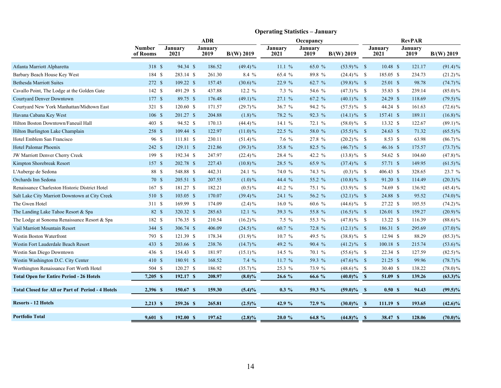|                                                          | <b>Operating Statistics - January</b> |                 |                        |              |                 |                        |               |          |                        |                        |              |  |
|----------------------------------------------------------|---------------------------------------|-----------------|------------------------|--------------|-----------------|------------------------|---------------|----------|------------------------|------------------------|--------------|--|
|                                                          |                                       |                 | <b>ADR</b>             |              |                 | Occupancy              |               |          |                        | <b>RevPAR</b>          |              |  |
|                                                          | <b>Number</b><br>of Rooms             | January<br>2021 | <b>January</b><br>2019 | $B/(W)$ 2019 | January<br>2021 | <b>January</b><br>2019 | $B/(W)$ 2019  |          | <b>January</b><br>2021 | <b>January</b><br>2019 | $B/(W)$ 2019 |  |
| Atlanta Marriott Alpharetta                              | 318 \$                                | 94.34 \$        | 186.52                 | $(49.4)\%$   | 11.1%           | 65.0 %                 | $(53.9)\%$ \$ |          | $10.48$ \$             | 121.17                 | $(91.4)\%$   |  |
| Barbary Beach House Key West                             | 184 \$                                | 283.14 \$       | 261.30                 | 8.4 %        | 65.4 %          | 89.8 %                 | $(24.4)\%$ \$ |          | 185.05 \$              | 234.73                 | $(21.2)\%$   |  |
| <b>Bethesda Marriott Suites</b>                          | 272 \$                                | 109.22 \$       | 157.45                 | $(30.6)\%$   | 22.9 %          | 62.7 %                 | $(39.8)\%$ \$ |          | 25.01 \$               | 98.78                  | $(74.7)\%$   |  |
| Cavallo Point, The Lodge at the Golden Gate              | 142 \$                                | 491.29 \$       | 437.88                 | $12.2 \%$    | $7.3\%$         | 54.6 %                 | $(47.3)\%$ \$ |          | 35.83 \$               | 239.14                 | $(85.0)\%$   |  |
| Courtyard Denver Downtown                                | 177 \$                                | 89.75 \$        | 176.48                 | $(49.1)\%$   | 27.1 %          | 67.2 %                 | $(40.1)\%$ \$ |          | 24.29 \$               | 118.69                 | $(79.5)\%$   |  |
| Courtyard New York Manhattan/Midtown East                | 321 \$                                | $120.60$ \$     | 171.57                 | $(29.7)\%$   | 36.7 %          | 94.2 %                 | $(57.5)\%$ \$ |          | 44.24 \$               | 161.63                 | $(72.6)\%$   |  |
| Havana Cabana Key West                                   | 106S                                  | 201.27 \$       | 204.88                 | $(1.8)\%$    | 78.2 %          | 92.3 %                 | $(14.1)\%$ \$ |          | 157.41 \$              | 189.11                 | $(16.8)\%$   |  |
| Hilton Boston Downtown/Faneuil Hall                      | 403S                                  | 94.52 \$        | 170.13                 | $(44.4)$ %   | 14.1 $%$        | 72.1 %                 | $(58.0)\%$ \$ |          | 13.32 S                | 122.67                 | $(89.1)\%$   |  |
| Hilton Burlington Lake Champlain                         | 258 \$                                | 109.44 \$       | 122.97                 | $(11.0)\%$   | 22.5 %          | 58.0 %                 | $(35.5)\%$ \$ |          | 24.63 \$               | 71.32                  | $(65.5)\%$   |  |
| Hotel Emblem San Francisco                               | 96 \$                                 | 111.81 \$       | 230.11                 | $(51.4)\%$   | 7.6 %           | 27.8 %                 | $(20.2)\%$ \$ |          | 8.53 \$                | 63.98                  | $(86.7)\%$   |  |
| Hotel Palomar Phoenix                                    | 242S                                  | $129.11$ \$     | 212.86                 | $(39.3)\%$   | 35.8 %          | 82.5 %                 | $(46.7)\%$ \$ |          | 46.16 \$               | 175.57                 | $(73.7)\%$   |  |
| JW Marriott Denver Cherry Creek                          | 199 \$                                | 192.34 \$       | 247.97                 | $(22.4)\%$   | 28.4 %          | 42.2 %                 | $(13.8)\%$ \$ |          | 54.62 \$               | 104.60                 | $(47.8)\%$   |  |
| Kimpton Shorebreak Resort                                | 157S                                  | 202.78 \$       | 227.43                 | $(10.8)\%$   | 28.5 %          | 65.9 %                 | $(37.4)\%$ \$ |          | 57.71 \$               | 149.95                 | $(61.5)\%$   |  |
| L'Auberge de Sedona                                      | 88 \$                                 | 548.88 \$       | 442.31                 | 24.1 %       | 74.0 %          | 74.3 %                 | $(0.3)\%$ \$  |          | 406.43 \$              | 328.65                 | 23.7 %       |  |
| Orchards Inn Sedona                                      | 70 \$                                 | 205.51 \$       | 207.55                 | $(1.0)\%$    | 44.4 %          | 55.2 %                 | $(10.8)\%$ \$ |          | $91.20$ \$             | 114.49                 | $(20.3)\%$   |  |
| Renaissance Charleston Historic District Hotel           | 167 \$                                | 181.27 \$       | 182.21                 | $(0.5)\%$    | 41.2 %          | 75.1 %                 | $(33.9)\%$ \$ |          | 74.69 \$               | 136.92                 | $(45.4)\%$   |  |
| Salt Lake City Marriott Downtown at City Creek           | 510 \$                                | 103.05 \$       | 170.07                 | $(39.4)\%$   | 24.1 %          | 56.2 %                 | $(32.1)\%$ \$ |          | 24.88 \$               | 95.52                  | $(74.0)\%$   |  |
| The Gwen Hotel                                           | 311 \$                                | 169.99 \$       | 174.09                 | $(2.4)\%$    | 16.0 $%$        | 60.6 $%$               | $(44.6)\%$ \$ |          | 27.22 \$               | 105.55                 | $(74.2)\%$   |  |
| The Landing Lake Tahoe Resort & Spa                      | 82 \$                                 | 320.32 \$       | 285.63                 | 12.1 $%$     | 39.3 %          | 55.8 %                 | $(16.5)\%$ \$ |          | $126.01$ \$            | 159.27                 | $(20.9)\%$   |  |
| The Lodge at Sonoma Renaissance Resort & Spa             | 182 \$                                | $176.35$ \$     | 210.54                 | $(16.2)\%$   | $7.5 \%$        | 55.3 %                 | $(47.8)\%$ \$ |          | $13.22$ \$             | 116.39                 | $(88.6)\%$   |  |
| Vail Marriott Mountain Resort                            | 344 \$                                | 306.74 \$       | 406.09                 | $(24.5)\%$   | 60.7 %          | 72.8 %                 | $(12.1)\%$ \$ |          | 186.31 \$              | 295.69                 | $(37.0)\%$   |  |
| <b>Westin Boston Waterfront</b>                          | 793 \$                                | 121.39 \$       | 178.34                 | $(31.9)\%$   | 10.7 %          | 49.5 %                 | $(38.8)\%$ \$ |          | $12.94$ \$             | 88.29                  | $(85.3)\%$   |  |
| Westin Fort Lauderdale Beach Resort                      | 433 $$$                               | 203.66 \$       | 238.76                 | $(14.7)\%$   | 49.2 %          | 90.4 %                 | $(41.2)\%$ \$ |          | $100.18$ \$            | 215.74                 | $(53.6)\%$   |  |
| Westin San Diego Downtown                                | 436 \$                                | 154.43 \$       | 181.97                 | $(15.1)\%$   | 14.5 %          | 70.1 %                 | $(55.6)\%$ \$ |          | 22.34 \$               | 127.59                 | $(82.5)\%$   |  |
| Westin Washington D.C. City Center                       | 410 \$                                | 180.91 \$       | 168.52                 | 7.4 %        | 11.7 %          | 59.3 %                 | $(47.6)\%$ \$ |          | 21.25 \$               | 99.96                  | $(78.7)\%$   |  |
| Worthington Renaissance Fort Worth Hotel                 | 504 \$                                | 120.27 \$       | 186.92                 | $(35.7)\%$   | 25.3 %          | 73.9 %                 | $(48.6)\%$ \$ |          | 30.40 \$               | 138.22                 | $(78.0)\%$   |  |
| <b>Total Open for Entire Period - 26 Hotels</b>          | $7,205$ \$                            | 192.17 \$       | 208.97                 | $(8.0)\%$    | 26.6 %          | 66.6 %                 | $(40.0)\%$ \$ |          | 51.09 \$               | 139.26                 | $(63.3)\%$   |  |
| <b>Total Closed for All or Part of Period - 4 Hotels</b> | 2,396 \$                              | 150.67 \$       | 159.30                 | $(5.4)\%$    | $0.3\%$         | 59.3 %                 | $(59.0)\%$    | <b>S</b> | 0.50S                  | 94.43                  | $(99.5)\%$   |  |
| <b>Resorts - 12 Hotels</b>                               | $2,213$ \$                            | 259.26 \$       | 265.81                 | $(2.5)\%$    | 42.9 %          | 72.9 %                 | $(30.0)\%$    | - \$     | 111.19S                | 193.65                 | $(42.6)\%$   |  |
| <b>Portfolio Total</b>                                   | $9,601$ \$                            | 192.00 S        | 197.62                 | $(2.8)\%$    | 20.0%           | 64.8 %                 | $(44.8)\%$    | - \$     | 38.47 \$               | 128.06                 | $(70.0)\%$   |  |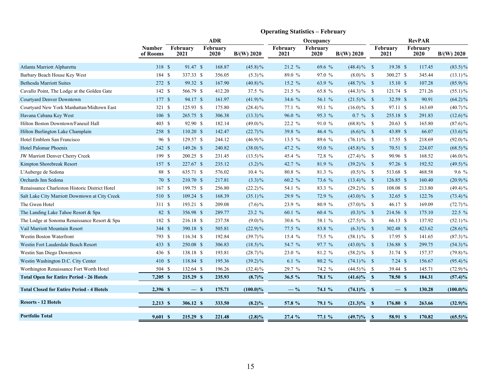|                                                  | <b>Operating Statistics - February</b> |                  |                  |              |                  |                  |               |              |                  |                  |              |  |  |
|--------------------------------------------------|----------------------------------------|------------------|------------------|--------------|------------------|------------------|---------------|--------------|------------------|------------------|--------------|--|--|
|                                                  |                                        |                  | <b>ADR</b>       |              |                  | Occupancy        |               |              |                  | <b>RevPAR</b>    |              |  |  |
|                                                  | <b>Number</b><br>of Rooms              | February<br>2021 | February<br>2020 | $B/(W)$ 2020 | February<br>2021 | February<br>2020 | $B/(W)$ 2020  |              | February<br>2021 | February<br>2020 | $B/(W)$ 2020 |  |  |
| Atlanta Marriott Alpharetta                      | 318 \$                                 | 91.47 \$         | 168.87           | $(45.8)\%$   | 21.2 %           | 69.6 %           | $(48.4)\%$ \$ |              | $19.38$ \$       | 117.45           | $(83.5)\%$   |  |  |
| Barbary Beach House Key West                     | 184 \$                                 | 337.33 \$        | 356.05           | $(5.3)\%$    | 89.0 %           | 97.0 %           | $(8.0)\%$ \$  |              | 300.27 \$        | 345.44           | $(13.1)\%$   |  |  |
| <b>Bethesda Marriott Suites</b>                  | 272 \$                                 | 99.32 \$         | 167.90           | $(40.8)\%$   | 15.2 %           | 63.9 %           | $(48.7)\%$ \$ |              | $15.10$ \$       | 107.28           | $(85.9)\%$   |  |  |
| Cavallo Point, The Lodge at the Golden Gate      | 142S                                   | 566.79 \$        | 412.20           | 37.5 %       | 21.5 %           | 65.8 %           | $(44.3)\%$ \$ |              | 121.74 \$        | 271.26           | $(55.1)\%$   |  |  |
| Courtyard Denver Downtown                        | 177 \$                                 | 94.17 \$         | 161.97           | $(41.9)\%$   | 34.6 %           | 56.1 %           | $(21.5)\%$ \$ |              | 32.59 \$         | 90.91            | $(64.2)\%$   |  |  |
| Courtyard New York Manhattan/Midtown East        | 321 \$                                 | 125.93 \$        | 175.80           | $(28.4)\%$   | 77.1 %           | 93.1 %           | $(16.0)\%$ \$ |              | 97.11 \$         | 163.69           | $(40.7)\%$   |  |  |
| Havana Cabana Key West                           | 106S                                   | 265.75 \$        | 306.38           | $(13.3)\%$   | 96.0 %           | 95.3 %           | $0.7 \%$ \$   |              | 255.18 \$        | 291.83           | $(12.6)\%$   |  |  |
| Hilton Boston Downtown/Faneuil Hall              | 403 \$                                 | 92.90 \$         | 182.14           | $(49.0)\%$   | 22.2 %           | 91.0 %           | $(68.8)\%$ \$ |              | $20.63$ \$       | 165.80           | $(87.6)\%$   |  |  |
| Hilton Burlington Lake Champlain                 | 258 \$                                 | $110.20$ \$      | 142.47           | $(22.7)\%$   | 39.8 %           | 46.4 %           | $(6.6)\%$ \$  |              | 43.89 \$         | 66.07            | $(33.6)\%$   |  |  |
| Hotel Emblem San Francisco                       | 96 \$                                  | 129.57 \$        | 244.12           | $(46.9)\%$   | 13.5 %           | 89.6 %           | $(76.1)\%$ \$ |              | $17.55$ \$       | 218.69           | $(92.0)\%$   |  |  |
| Hotel Palomar Phoenix                            | 242 \$                                 | 149.26 \$        | 240.82           | $(38.0)\%$   | 47.2 %           | 93.0 %           | $(45.8)\%$ \$ |              | 70.51 \$         | 224.07           | $(68.5)\%$   |  |  |
| JW Marriott Denver Cherry Creek                  | 199 \$                                 | 200.25 \$        | 231.45           | $(13.5)\%$   | 45.4 %           | 72.8 %           | $(27.4)\%$ \$ |              | 90.96 \$         | 168.52           | $(46.0)\%$   |  |  |
| Kimpton Shorebreak Resort                        | 157S                                   | 227.67 \$        | 235.12           | $(3.2)\%$    | 42.7 %           | 81.9 %           | $(39.2)\%$ \$ |              | 97.26 \$         | 192.52           | $(49.5)\%$   |  |  |
| L'Auberge de Sedona                              | 88 \$                                  | 635.71 \$        | 576.02           | 10.4%        | 80.8 %           | 81.3 %           | $(0.5)\%$ \$  |              | 513.68 \$        | 468.58           | $9.6\%$      |  |  |
| Orchards Inn Sedona                              | 70 \$                                  | 210.70 \$        | 217.81           | $(3.3)\%$    | 60.2 %           | 73.6 %           | $(13.4)\%$ \$ |              | 126.85 \$        | 160.40           | $(20.9)\%$   |  |  |
| Renaissance Charleston Historic District Hotel   | 167S                                   | 199.75 \$        | 256.80           | $(22.2)\%$   | 54.1 %           | 83.3 %           | $(29.2)\%$ \$ |              | 108.08 \$        | 213.80           | $(49.4)\%$   |  |  |
| Salt Lake City Marriott Downtown at City Creek   | 510 \$                                 | $109.24$ \$      | 168.39           | $(35.1)\%$   | 29.9 %           | 72.9 %           | $(43.0)\%$ \$ |              | $32.65$ \$       | 122.76           | $(73.4)\%$   |  |  |
| The Gwen Hotel                                   | 311 \$                                 | 193.21 \$        | 209.08           | $(7.6)\%$    | 23.9 %           | 80.9 %           | $(57.0)\%$ \$ |              | 46.17 \$         | 169.09           | $(72.7)\%$   |  |  |
| The Landing Lake Tahoe Resort & Spa              | 82 \$                                  | 356.98 \$        | 289.77           | 23.2 %       | 60.1 %           | 60.4 %           | $(0.3)\%$ \$  |              | 214.56 \$        | 175.10           | 22.5%        |  |  |
| The Lodge at Sonoma Renaissance Resort & Spa     | 182 \$                                 | 216.18 \$        | 237.58           | $(9.0)\%$    | 30.6 $\%$        | 58.1 %           | $(27.5)\%$ \$ |              | 66.13 \$         | 137.92           | $(52.1)\%$   |  |  |
| Vail Marriott Mountain Resort                    | 344 \$                                 | 390.18 \$        | 505.81           | $(22.9)\%$   | 77.5 %           | 83.8 %           | $(6.3)\%$ \$  |              | 302.48 \$        | 423.62           | $(28.6)\%$   |  |  |
| <b>Westin Boston Waterfront</b>                  | 793 \$                                 | 116.34 \$        | 192.84           | $(39.7)\%$   | 15.4 %           | 73.5 %           | $(58.1)\%$ \$ |              | $17.95$ \$       | 141.65           | $(87.3)\%$   |  |  |
| Westin Fort Lauderdale Beach Resort              | 433 \$                                 | 250.08 \$        | 306.83           | $(18.5)\%$   | 54.7 %           | 97.7 %           | $(43.0)\%$ \$ |              | 136.88 \$        | 299.75           | $(54.3)\%$   |  |  |
| Westin San Diego Downtown                        | 436 \$                                 | 138.18 \$        | 193.81           | $(28.7)\%$   | 23.0 %           | 81.2 %           | $(58.2)\%$ \$ |              | 31.74 \$         | 157.37           | $(79.8)\%$   |  |  |
| Westin Washington D.C. City Center               | 410 \$                                 | 118.84 \$        | 195.36           | $(39.2)\%$   | $6.1 \%$         | 80.2 %           | $(74.1)\%$ \$ |              | $7.24$ \$        | 156.67           | $(95.4)\%$   |  |  |
| Worthington Renaissance Fort Worth Hotel         | 504 \$                                 | 132.64 \$        | 196.26           | $(32.4)\%$   | 29.7 %           | 74.2 %           | $(44.5)\%$ \$ |              | 39.44 \$         | 145.71           | $(72.9)\%$   |  |  |
| <b>Total Open for Entire Period - 26 Hotels</b>  | $7,205$ \$                             | 215.29 \$        | 235.93           | $(8.7)\%$    | 36.5 %           | 78.1 %           | $(41.6)\%$    | $\mathbf{s}$ | 78.50 \$         | 184.31           | $(57.4)\%$   |  |  |
| <b>Total Closed for Entire Period - 4 Hotels</b> | 2,396 \$                               | $-$ s            | 175.71           | $(100.0)\%$  | $-$ %            | 74.1 %           | $(74.1)\%$ \$ |              | $-$ s            | 130.28           | $(100.0)\%$  |  |  |
| <b>Resorts - 12 Hotels</b>                       | $2,213$ \$                             | 306.12 \$        | 333.50           | $(8.2)\%$    | 57.8 %           | 79.1 %           | $(21.3)\%$    | $\mathbf{s}$ | 176.80 \$        | 263.66           | $(32.9)\%$   |  |  |
| <b>Portfolio Total</b>                           | $9,601$ \$                             | 215.29 \$        | 221.48           | $(2.8)\%$    | 27.4%            | 77.1 %           | $(49.7)\%$    | - \$         | 58.91 \$         | 170.82           | $(65.5)\%$   |  |  |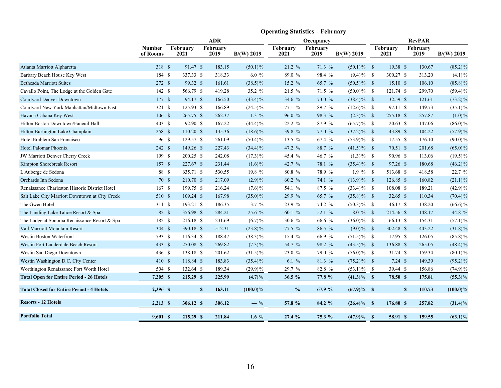|                                                  |                           | <b>Operating Statistics - February</b> |                  |                  |              |                  |                  |               |              |                  |                  |              |  |  |
|--------------------------------------------------|---------------------------|----------------------------------------|------------------|------------------|--------------|------------------|------------------|---------------|--------------|------------------|------------------|--------------|--|--|
|                                                  |                           |                                        |                  | <b>ADR</b>       |              |                  | Occupancy        |               |              |                  | <b>RevPAR</b>    |              |  |  |
|                                                  | <b>Number</b><br>of Rooms |                                        | February<br>2021 | February<br>2019 | $B/(W)$ 2019 | February<br>2021 | February<br>2019 | $B/(W)$ 2019  |              | February<br>2021 | February<br>2019 | $B/(W)$ 2019 |  |  |
|                                                  |                           |                                        |                  |                  |              |                  |                  |               |              |                  |                  |              |  |  |
| Atlanta Marriott Alpharetta                      | 318 \$                    |                                        | 91.47 \$         | 183.15           | $(50.1)\%$   | 21.2 %           | 71.3 %           | $(50.1)\%$ \$ |              | $19.38$ \$       | 130.67           | $(85.2)\%$   |  |  |
| Barbary Beach House Key West                     | 184 \$                    |                                        | 337.33 \$        | 318.33           | $6.0 \%$     | 89.0 %           | 98.4 %           | $(9.4)\%$ \$  |              | 300.27 \$        | 313.20           | $(4.1)\%$    |  |  |
| <b>Bethesda Marriott Suites</b>                  | 272 \$                    |                                        | 99.32 \$         | 161.61           | $(38.5)\%$   | 15.2 %           | 65.7 %           | $(50.5)\%$ \$ |              | $15.10$ \$       | 106.10           | $(85.8)\%$   |  |  |
| Cavallo Point, The Lodge at the Golden Gate      | 142S                      |                                        | 566.79 \$        | 419.28           | 35.2 %       | 21.5 %           | 71.5 %           | $(50.0)\%$ \$ |              | 121.74 \$        | 299.70           | $(59.4)\%$   |  |  |
| Courtyard Denver Downtown                        | 177 \$                    |                                        | 94.17 \$         | 166.50           | $(43.4)\%$   | 34.6 %           | 73.0 %           | $(38.4)\%$ \$ |              | 32.59 \$         | 121.61           | $(73.2)\%$   |  |  |
| Courtyard New York Manhattan/Midtown East        | 321 \$                    |                                        | 125.93 \$        | 166.89           | $(24.5)\%$   | 77.1 %           | 89.7 %           | $(12.6)\%$ \$ |              | 97.11 \$         | 149.73           | $(35.1)\%$   |  |  |
| Havana Cabana Key West                           | 106S                      |                                        | 265.75 \$        | 262.37           | 1.3 $%$      | 96.0 %           | 98.3 %           | $(2.3)\%$ \$  |              | 255.18 \$        | 257.87           | $(1.0)\%$    |  |  |
| Hilton Boston Downtown/Faneuil Hall              | 403 \$                    |                                        | 92.90 \$         | 167.22           | $(44.4)\%$   | 22.2 %           | 87.9 %           | $(65.7)\%$ \$ |              | $20.63$ \$       | 147.06           | $(86.0)\%$   |  |  |
| Hilton Burlington Lake Champlain                 | 258 \$                    |                                        | $110.20$ \$      | 135.36           | $(18.6)\%$   | 39.8 %           | 77.0 %           | $(37.2)\%$ \$ |              | 43.89 \$         | 104.22           | $(57.9)\%$   |  |  |
| Hotel Emblem San Francisco                       | 96 \$                     |                                        | 129.57 \$        | 261.09           | $(50.4)\%$   | 13.5 %           | 67.4 %           | $(53.9)\%$ \$ |              | $17.55$ \$       | 176.10           | $(90.0)\%$   |  |  |
| Hotel Palomar Phoenix                            | 242 \$                    |                                        | 149.26 \$        | 227.43           | $(34.4)\%$   | 47.2 %           | 88.7 %           | $(41.5)\%$ \$ |              | 70.51 \$         | 201.68           | $(65.0)\%$   |  |  |
| JW Marriott Denver Cherry Creek                  | 199 \$                    |                                        | 200.25 \$        | 242.08           | $(17.3)\%$   | 45.4 %           | 46.7 %           | $(1.3)\%$ \$  |              | 90.96 \$         | 113.06           | $(19.5)\%$   |  |  |
| Kimpton Shorebreak Resort                        | 157S                      |                                        | 227.67 \$        | 231.44           | $(1.6)\%$    | 42.7 %           | 78.1 %           | $(35.4)\%$ \$ |              | 97.26 \$         | 180.68           | $(46.2)\%$   |  |  |
| L'Auberge de Sedona                              | 88 \$                     |                                        | 635.71 \$        | 530.55           | 19.8 %       | 80.8 %           | 78.9 %           | $1.9 \%$ \$   |              | 513.68 \$        | 418.58           | 22.7 %       |  |  |
| Orchards Inn Sedona                              | 70 \$                     |                                        | 210.70 \$        | 217.09           | $(2.9)\%$    | 60.2 %           | 74.1 %           | $(13.9)\%$ \$ |              | 126.85 \$        | 160.82           | $(21.1)\%$   |  |  |
| Renaissance Charleston Historic District Hotel   | 167S                      |                                        | 199.75 \$        | 216.24           | $(7.6)\%$    | 54.1 %           | 87.5 %           | $(33.4)\%$ \$ |              | 108.08 \$        | 189.21           | $(42.9)\%$   |  |  |
| Salt Lake City Marriott Downtown at City Creek   | 510 \$                    |                                        | $109.24$ \$      | 167.98           | $(35.0)\%$   | 29.9 %           | 65.7 %           | $(35.8)\%$ \$ |              | $32.65$ \$       | 110.34           | $(70.4)\%$   |  |  |
| The Gwen Hotel                                   | 311 \$                    |                                        | 193.21 \$        | 186.35           | $3.7 \%$     | 23.9 %           | 74.2 %           | $(50.3)\%$ \$ |              | 46.17 \$         | 138.20           | $(66.6)\%$   |  |  |
| The Landing Lake Tahoe Resort & Spa              | 82 \$                     |                                        | 356.98 \$        | 284.21           | 25.6 %       | 60.1 %           | 52.1 %           | $8.0 \%$ \$   |              | 214.56 \$        | 148.17           | 44.8 %       |  |  |
| The Lodge at Sonoma Renaissance Resort & Spa     | 182 \$                    |                                        | 216.18 \$        | 231.69           | $(6.7)\%$    | 30.6 $\%$        | 66.6 %           | $(36.0)\%$ \$ |              | 66.13 \$         | 154.31           | $(57.1)\%$   |  |  |
| Vail Marriott Mountain Resort                    | 344 \$                    |                                        | 390.18 \$        | 512.31           | $(23.8)\%$   | 77.5 %           | 86.5 %           | $(9.0)\%$ \$  |              | 302.48 \$        | 443.22           | $(31.8)\%$   |  |  |
| <b>Westin Boston Waterfront</b>                  | 793 \$                    |                                        | 116.34 \$        | 188.47           | $(38.3)\%$   | 15.4 %           | 66.9 %           | $(51.5)\%$ \$ |              | $17.95$ \$       | 126.05           | $(85.8)\%$   |  |  |
| Westin Fort Lauderdale Beach Resort              | 433 $$$                   |                                        | 250.08 \$        | 269.82           | $(7.3)\%$    | 54.7 %           | 98.2 %           | $(43.5)\%$ \$ |              | 136.88 \$        | 265.05           | $(48.4)\%$   |  |  |
| Westin San Diego Downtown                        | 436 \$                    |                                        | 138.18 \$        | 201.62           | $(31.5)\%$   | 23.0 %           | 79.0 %           | $(56.0)\%$ \$ |              | 31.74 \$         | 159.34           | $(80.1)\%$   |  |  |
| Westin Washington D.C. City Center               | 410 \$                    |                                        | 118.84 \$        | 183.83           | $(35.4)\%$   | $6.1 \%$         | 81.3 %           | $(75.2)\%$ \$ |              | $7.24$ \$        | 149.39           | $(95.2)\%$   |  |  |
| Worthington Renaissance Fort Worth Hotel         | 504 \$                    |                                        | 132.64 \$        | 189.34           | $(29.9)\%$   | 29.7 %           | $82.8\,$ %       | $(53.1)\%$ \$ |              | 39.44 \$         | 156.86           | $(74.9)\%$   |  |  |
| <b>Total Open for Entire Period - 26 Hotels</b>  | $7,205$ \$                |                                        | 215.29 \$        | 225.99           | $(4.7)\%$    | 36.5 %           | 77.8 %           | $(41.3)\%$    | $\mathbf{s}$ | 78.50 \$         | 175.81           | $(55.3)\%$   |  |  |
| <b>Total Closed for Entire Period - 4 Hotels</b> | 2,396 \$                  |                                        | $-$ s            | 163.11           | $(100.0)\%$  | $-$ %            | 67.9 %           | $(67.9)\%$ \$ |              | $-$ s            | 110.73           | $(100.0)\%$  |  |  |
| <b>Resorts - 12 Hotels</b>                       | $2,213$ \$                |                                        | 306.12 \$        | 306.12           | $-$ %        | 57.8 %           | 84.2 %           | $(26.4)\%$    | $\mathbf s$  | 176.80 \$        | 257.82           | $(31.4)\%$   |  |  |
| <b>Portfolio Total</b>                           | $9,601$ \$                |                                        | 215.29 \$        | 211.84           | 1.6 $%$      | 27.4%            | 75.3 %           | $(47.9)\%$    | - \$         | 58.91 \$         | 159.55           | $(63.1)\%$   |  |  |
|                                                  |                           |                                        |                  |                  |              |                  |                  |               |              |                  |                  |              |  |  |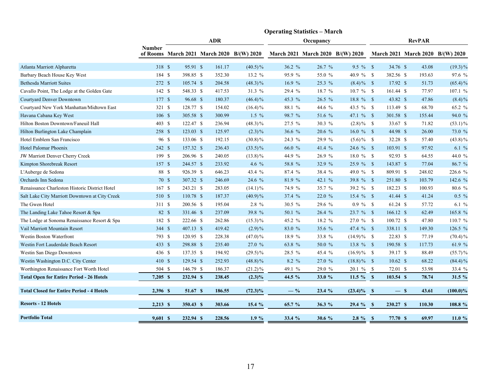|                                                  | <b>Operating Statistics - March</b> |             |                                           |            |        |                                  |               |                     |                                  |             |  |  |  |
|--------------------------------------------------|-------------------------------------|-------------|-------------------------------------------|------------|--------|----------------------------------|---------------|---------------------|----------------------------------|-------------|--|--|--|
|                                                  |                                     |             | <b>ADR</b>                                |            |        | Occupancy                        |               |                     | <b>RevPAR</b>                    |             |  |  |  |
|                                                  | <b>Number</b>                       |             | of Rooms March 2021 March 2020 B/(W) 2020 |            |        | March 2021 March 2020 B/(W) 2020 |               |                     | March 2021 March 2020 B/(W) 2020 |             |  |  |  |
| Atlanta Marriott Alpharetta                      | 318 \$                              | 95.91 \$    | 161.17                                    | $(40.5)\%$ | 36.2 % | 26.7 %                           | $9.5 \%$ \$   | 34.76 \$            | 43.08                            | $(19.3)\%$  |  |  |  |
| Barbary Beach House Key West                     | 184 \$                              | 398.85 \$   | 352.30                                    | 13.2 %     | 95.9 % | 55.0 %                           | 40.9 % \$     | 382.56 \$           | 193.63                           | 97.6 %      |  |  |  |
| <b>Bethesda Marriott Suites</b>                  | 272 \$                              | 105.74 \$   | 204.58                                    | $(48.3)\%$ | 16.9 % | 25.3 %                           | $(8.4)\%$ \$  | 17.92 \$            | 51.73                            | $(65.4)\%$  |  |  |  |
| Cavallo Point, The Lodge at the Golden Gate      | 142S                                | 548.33 \$   | 417.53                                    | 31.3 %     | 29.4 % | 18.7 %                           | $10.7 \%$ \$  | 161.44 \$           | 77.97                            | 107.1 %     |  |  |  |
| Courtyard Denver Downtown                        | 177 \$                              | 96.68 \$    | 180.37                                    | $(46.4)\%$ | 45.3 % | 26.5 %                           | 18.8 % \$     | 43.82 \$            | 47.86                            | $(8.4)\%$   |  |  |  |
| Courtyard New York Manhattan/Midtown East        | 321 \$                              | 128.77 \$   | 154.02                                    | $(16.4)\%$ | 88.1 % | 44.6 %                           | 43.5 % \$     | 113.49 \$           | 68.70                            | 65.2 %      |  |  |  |
| Havana Cabana Key West                           | 106 \$                              | 305.58 \$   | 300.99                                    | $1.5\%$    | 98.7 % | 51.6 %                           | 47.1 % \$     | 301.58 \$           | 155.44                           | 94.0 %      |  |  |  |
| Hilton Boston Downtown/Faneuil Hall              | 403 \$                              | 122.47 \$   | 236.94                                    | $(48.3)\%$ | 27.5 % | 30.3 %                           | $(2.8)\%$ \$  | 33.67 \$            | 71.82                            | $(53.1)\%$  |  |  |  |
| Hilton Burlington Lake Champlain                 | 258 \$                              | 123.03 \$   | 125.97                                    | $(2.3)\%$  | 36.6 % | 20.6 %                           | 16.0 $%$ \$   | 44.98 \$            | 26.00                            | 73.0 %      |  |  |  |
| Hotel Emblem San Francisco                       | 96 \$                               | 133.06 \$   | 192.15                                    | $(30.8)\%$ | 24.3 % | 29.9 %                           | $(5.6)\%$ \$  | 32.28 \$            | 57.40                            | $(43.8)\%$  |  |  |  |
| Hotel Palomar Phoenix                            | 242 \$                              | 157.32 \$   | 236.43                                    | $(33.5)\%$ | 66.0 % | 41.4 %                           | 24.6 % \$     | 103.91 \$           | 97.92                            | 6.1 $%$     |  |  |  |
| JW Marriott Denver Cherry Creek                  | 199 \$                              | 206.96 \$   | 240.05                                    | $(13.8)\%$ | 44.9 % | 26.9 %                           | 18.0 % \$     | 92.93 \$            | 64.55                            | 44.0 %      |  |  |  |
| Kimpton Shorebreak Resort                        | 157S                                | 244.57 \$   | 233.92                                    | 4.6 $%$    | 58.8 % | 32.9 %                           | $25.9 \%$ \$  | 143.87 \$           | 77.04                            | 86.7 %      |  |  |  |
| L'Auberge de Sedona                              | 88 \$                               | 926.39 \$   | 646.23                                    | 43.4 %     | 87.4 % | 38.4 %                           | 49.0 % \$     | 809.91 \$           | 248.02                           | 226.6 %     |  |  |  |
| Orchards Inn Sedona                              | 70 \$                               | 307.32 \$   | 246.69                                    | 24.6 %     | 81.9 % | 42.1 $%$                         | $39.8 \%$ \$  | 251.80 \$           | 103.79                           | 142.6 %     |  |  |  |
| Renaissance Charleston Historic District Hotel   | 167S                                | 243.21 \$   | 283.05                                    | $(14.1)\%$ | 74.9 % | 35.7 %                           | 39.2 % \$     | 182.23 \$           | 100.93                           | 80.6 %      |  |  |  |
| Salt Lake City Marriott Downtown at City Creek   | 510 \$                              | 110.78 \$   | 187.37                                    | $(40.9)\%$ | 37.4 % | 22.0%                            | $15.4 \%$ \$  | $41.44$ \$          | 41.24                            | $0.5 \%$    |  |  |  |
| The Gwen Hotel                                   | 311 \$                              | 200.56 \$   | 195.04                                    | 2.8 %      | 30.5 % | 29.6 %                           | $0.9 \%$ \$   | 61.24 \$            | 57.72                            | 6.1 $%$     |  |  |  |
| The Landing Lake Tahoe Resort & Spa              | 82 \$                               | 331.46 \$   | 237.09                                    | 39.8 %     | 50.1 % | 26.4%                            | 23.7 % \$     | $166.12 \text{ }$   | 62.49                            | 165.8 %     |  |  |  |
| The Lodge at Sonoma Renaissance Resort & Spa     | 182 \$                              | 222.66 \$   | 262.86                                    | $(15.3)\%$ | 45.2 % | 18.2 %                           | 27.0 % \$     | 100.72 \$           | 47.80                            | 110.7 %     |  |  |  |
| Vail Marriott Mountain Resort                    | 344 \$                              | $407.13$ \$ | 419.42                                    | $(2.9)\%$  | 83.0 % | 35.6 %                           | 47.4 % \$     | 338.11 \$           | 149.30                           | 126.5 %     |  |  |  |
| Westin Boston Waterfront                         | 793 \$                              | 120.95 \$   | 228.38                                    | $(47.0)\%$ | 18.9 % | 33.8 %                           | $(14.9)\%$ \$ | 22.83 \$            | 77.19                            | $(70.4)\%$  |  |  |  |
| Westin Fort Lauderdale Beach Resort              | 433S                                | 298.88 \$   | 235.40                                    | 27.0 %     | 63.8 % | 50.0 %                           | 13.8 % \$     | 190.58 \$           | 117.73                           | 61.9 %      |  |  |  |
| Westin San Diego Downtown                        | 436 \$                              | 137.35 \$   | 194.92                                    | $(29.5)\%$ | 28.5 % | 45.4 %                           | $(16.9)\%$ \$ | 39.17 \$            | 88.49                            | $(55.7)\%$  |  |  |  |
| Westin Washington D.C. City Center               | 410 \$                              | 129.54 \$   | 252.93                                    | $(48.8)\%$ | 8.2 %  | 27.0 %                           | $(18.8)\%$ \$ | $10.62 \text{ }$ \$ | 68.22                            | $(84.4)\%$  |  |  |  |
| Worthington Renaissance Fort Worth Hotel         | 504 \$                              | 146.79 \$   | 186.37                                    | $(21.2)\%$ | 49.1 % | 29.0 %                           | $20.1 \%$ \$  | 72.01 \$            | 53.98                            | 33.4 %      |  |  |  |
| <b>Total Open for Entire Period - 26 Hotels</b>  | $7,205$ \$                          | 232.94 \$   | 238.45                                    | $(2.3)\%$  | 44.5 % | 33.0 %                           | $11.5 \%$ \$  | $103.54$ \$         | 78.74                            | 31.5 %      |  |  |  |
| <b>Total Closed for Entire Period - 4 Hotels</b> | 2,396 \$                            | 51.67 \$    | 186.55                                    | $(72.3)\%$ | $-$ %  | 23.4 %                           | $(23.4)\%$ \$ |                     | 43.61<br>$-$ \$                  | $(100.0)\%$ |  |  |  |
| <b>Resorts - 12 Hotels</b>                       | $2,213$ \$                          | 350.43 \$   | 303.66                                    | 15.4 %     | 65.7 % | 36.3 %                           | $29.4 \%$ \$  | 230.27 S            | 110.30                           | 108.8 %     |  |  |  |
| <b>Portfolio Total</b>                           | 9,601 \$                            | 232.94 \$   | 228.56                                    | 1.9%       | 33.4 % | 30.6 %                           | $2.8 \%$ \$   | 77.70 S             | 69.97                            | 11.0 $%$    |  |  |  |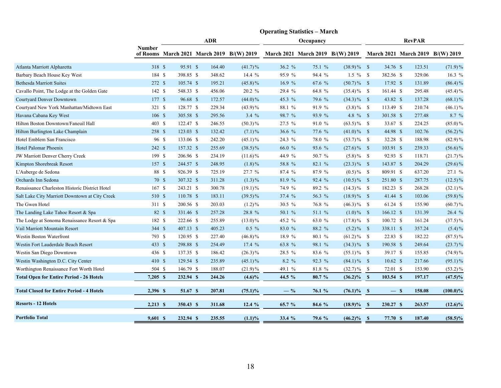|                                                  | <b>Operating Statistics - March</b> |  |           |                                           |            |           |                                  |               |  |                   |               |                                  |  |
|--------------------------------------------------|-------------------------------------|--|-----------|-------------------------------------------|------------|-----------|----------------------------------|---------------|--|-------------------|---------------|----------------------------------|--|
|                                                  |                                     |  |           | <b>ADR</b>                                |            |           | Occupancy                        |               |  |                   | <b>RevPAR</b> |                                  |  |
|                                                  | <b>Number</b>                       |  |           | of Rooms March 2021 March 2019 B/(W) 2019 |            |           | March 2021 March 2019 B/(W) 2019 |               |  |                   |               | March 2021 March 2019 B/(W) 2019 |  |
|                                                  |                                     |  |           |                                           |            |           |                                  |               |  |                   |               |                                  |  |
| Atlanta Marriott Alpharetta                      | 318 \$                              |  | 95.91 \$  | 164.40                                    | $(41.7)\%$ | 36.2 %    | 75.1 %                           | $(38.9)\%$ \$ |  | 34.76 \$          | 123.51        | $(71.9)\%$                       |  |
| Barbary Beach House Key West                     | 184 \$                              |  | 398.85 \$ | 348.62                                    | 14.4 %     | 95.9 %    | 94.4 %                           | $1.5 \%$ \$   |  | 382.56 \$         | 329.06        | 16.3 %                           |  |
| <b>Bethesda Marriott Suites</b>                  | 272 \$                              |  | 105.74 \$ | 195.21                                    | $(45.8)\%$ | 16.9 %    | 67.6 %                           | $(50.7)\%$ \$ |  | 17.92 S           | 131.89        | $(86.4)\%$                       |  |
| Cavallo Point, The Lodge at the Golden Gate      | 142 \$                              |  | 548.33 \$ | 456.06                                    | 20.2 %     | 29.4 %    | 64.8 %                           | $(35.4)\%$ \$ |  | $161.44$ \$       | 295.48        | $(45.4)\%$                       |  |
| Courtyard Denver Downtown                        | 177S                                |  | 96.68 \$  | 172.57                                    | $(44.0)\%$ | 45.3 %    | 79.6 %                           | $(34.3)\%$ \$ |  | 43.82 \$          | 137.28        | $(68.1)\%$                       |  |
| Courtyard New York Manhattan/Midtown East        | 321 \$                              |  | 128.77 \$ | 229.34                                    | $(43.9)\%$ | 88.1 %    | 91.9 %                           | $(3.8)\%$ \$  |  | 113.49 \$         | 210.74        | $(46.1)\%$                       |  |
| Havana Cabana Key West                           | 106 \$                              |  | 305.58 \$ | 295.56                                    | 3.4%       | 98.7 %    | 93.9 %                           | 4.8 $%$ \$    |  | 301.58 \$         | 277.48        | 8.7 %                            |  |
| Hilton Boston Downtown/Faneuil Hall              | $403 \quad S$                       |  | 122.47 \$ | 246.55                                    | $(50.3)\%$ | 27.5 %    | 91.0 %                           | $(63.5)\%$ \$ |  | 33.67 \$          | 224.25        | $(85.0)\%$                       |  |
| Hilton Burlington Lake Champlain                 | 258 \$                              |  | 123.03 \$ | 132.42                                    | $(7.1)\%$  | 36.6 %    | 77.6 %                           | $(41.0)\%$ \$ |  | 44.98 \$          | 102.76        | $(56.2)\%$                       |  |
| Hotel Emblem San Francisco                       | 96 \$                               |  | 133.06 \$ | 242.20                                    | $(45.1)\%$ | 24.3 %    | 78.0 %                           | $(53.7)\%$ \$ |  | 32.28 \$          | 188.98        | $(82.9)\%$                       |  |
| Hotel Palomar Phoenix                            | 242 \$                              |  | 157.32 \$ | 255.69                                    | $(38.5)\%$ | 66.0 %    | 93.6 %                           | $(27.6)\%$ \$ |  | 103.91 \$         | 239.33        | $(56.6)\%$                       |  |
| JW Marriott Denver Cherry Creek                  | 199 \$                              |  | 206.96 \$ | 234.19                                    | $(11.6)\%$ | 44.9 %    | 50.7 %                           | $(5.8)\%$ \$  |  | 92.93 \$          | 118.71        | $(21.7)\%$                       |  |
| Kimpton Shorebreak Resort                        | 157S                                |  | 244.57 \$ | 248.95                                    | $(1.8)\%$  | 58.8 %    | 82.1 %                           | $(23.3)\%$ \$ |  | 143.87 \$         | 204.29        | $(29.6)\%$                       |  |
| L'Auberge de Sedona                              | 88 \$                               |  | 926.39 \$ | 725.19                                    | 27.7 %     | 87.4 %    | 87.9 %                           | $(0.5)\%$ \$  |  | 809.91 \$         | 637.20        | 27.1 %                           |  |
| Orchards Inn Sedona                              | 70 \$                               |  | 307.32 \$ | 311.28                                    | $(1.3)\%$  | 81.9 %    | 92.4 %                           | $(10.5)\%$ \$ |  | 251.80 \$         | 287.75        | $(12.5)\%$                       |  |
| Renaissance Charleston Historic District Hotel   | 167S                                |  | 243.21 \$ | 300.78                                    | $(19.1)\%$ | 74.9 %    | 89.2 %                           | $(14.3)\%$ \$ |  | 182.23 \$         | 268.28        | $(32.1)\%$                       |  |
| Salt Lake City Marriott Downtown at City Creek   | 510 \$                              |  | 110.78 \$ | 183.11                                    | $(39.5)\%$ | 37.4 %    | 56.3 %                           | $(18.9)\%$ \$ |  | $41.44$ \$        | 103.06        | $(59.8)\%$                       |  |
| The Gwen Hotel                                   | 311 \$                              |  | 200.56 \$ | 203.03                                    | $(1.2)\%$  | 30.5 $\%$ | 76.8 %                           | $(46.3)\%$ \$ |  | 61.24 \$          | 155.90        | $(60.7)\%$                       |  |
| The Landing Lake Tahoe Resort & Spa              | 82 \$                               |  | 331.46 \$ | 257.28                                    | 28.8 %     | 50.1 %    | 51.1 %                           | $(1.0)\%$ \$  |  | $166.12 \text{ }$ | 131.39        | 26.4 %                           |  |
| The Lodge at Sonoma Renaissance Resort & Spa     | 182 \$                              |  | 222.66 \$ | 255.89                                    | $(13.0)\%$ | 45.2 %    | 63.0 %                           | $(17.8)\%$ \$ |  | 100.72 \$         | 161.24        | $(37.5)\%$                       |  |
| Vail Marriott Mountain Resort                    | 344 \$                              |  | 407.13 \$ | 405.23                                    | $0.5\%$    | 83.0 %    | 88.2 %                           | $(5.2)\%$ \$  |  | 338.11 \$         | 357.24        | $(5.4)\%$                        |  |
| <b>Westin Boston Waterfront</b>                  | 793 \$                              |  | 120.95 \$ | 227.40                                    | $(46.8)\%$ | 18.9 %    | 80.1 %                           | $(61.2)\%$ \$ |  | $22.83$ \$        | 182.22        | $(87.5)\%$                       |  |
| Westin Fort Lauderdale Beach Resort              | 433 \$                              |  | 298.88 \$ | 254.49                                    | 17.4 %     | 63.8 %    | 98.1 %                           | $(34.3)\%$ \$ |  | 190.58 \$         | 249.64        | $(23.7)\%$                       |  |
| Westin San Diego Downtown                        | 436 \$                              |  | 137.35 \$ | 186.42                                    | $(26.3)\%$ | 28.5 %    | 83.6 %                           | $(55.1)\%$ \$ |  | 39.17 \$          | 155.85        | $(74.9)\%$                       |  |
| Westin Washington D.C. City Center               | 410 \$                              |  | 129.54 \$ | 235.89                                    | $(45.1)\%$ | 8.2 %     | 92.3 %                           | $(84.1)\%$ \$ |  | $10.62$ \$        | 217.66        | $(95.1)\%$                       |  |
| Worthington Renaissance Fort Worth Hotel         | 504 \$                              |  | 146.79 \$ | 188.07                                    | $(21.9)\%$ | 49.1 %    | 81.8%                            | $(32.7)\%$ \$ |  | 72.01 \$          | 153.90        | $(53.2)\%$                       |  |
| <b>Total Open for Entire Period - 26 Hotels</b>  | $7,205$ \$                          |  | 232.94 \$ | 244.26                                    | $(4.6)\%$  | 44.5 %    | 80.7 %                           | $(36.2)\%$ \$ |  | $103.54$ \$       | 197.17        | $(47.5)\%$                       |  |
|                                                  |                                     |  |           |                                           |            |           |                                  |               |  |                   |               |                                  |  |
| <b>Total Closed for Entire Period - 4 Hotels</b> | 2,396 \$                            |  | 51.67 \$  | 207.81                                    | $(75.1)\%$ | $-$ %     | 76.1 %                           | $(76.1)\%$ \$ |  | $-$ \$            | 158.08        | $(100.0)\%$                      |  |
| <b>Resorts - 12 Hotels</b>                       | $2,213$ \$                          |  | 350.43 \$ | 311.68                                    | 12.4%      | 65.7 %    | 84.6 %                           | $(18.9)\%$ \$ |  | 230.27 \$         | 263.57        | $(12.6)\%$                       |  |
| <b>Portfolio Total</b>                           | 9,601 \$                            |  | 232.94 \$ | 235.55                                    | $(1.1)\%$  | 33.4 %    | 79.6 %                           | $(46.2)\%$ \$ |  | 77.70 S           | 187.40        | $(58.5)\%$                       |  |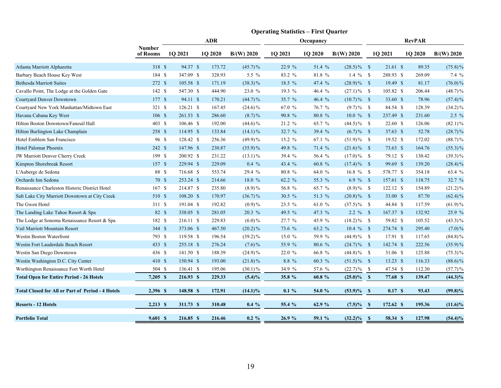|                                                          | <b>Operating Statistics - First Quarter</b> |                |            |              |              |                |               |              |                   |                |            |  |  |
|----------------------------------------------------------|---------------------------------------------|----------------|------------|--------------|--------------|----------------|---------------|--------------|-------------------|----------------|------------|--|--|
|                                                          |                                             |                | <b>ADR</b> |              |              | Occupancy      |               |              |                   | <b>RevPAR</b>  |            |  |  |
|                                                          | <b>Number</b><br>of Rooms                   | <b>1O 2021</b> | 1Q 2020    | $B/(W)$ 2020 | 1O 2021      | <b>1O 2020</b> | B/(W) 2020    |              | 1O 2021           | <b>1O 2020</b> | B/(W) 2020 |  |  |
| Atlanta Marriott Alpharetta                              | 318 \$                                      | 94.37 \$       | 173.72     | $(45.7)\%$   | 22.9 %       | 51.4 %         | $(28.5)\%$ \$ |              | $21.61 \text{ }$  | 89.35          | $(75.8)\%$ |  |  |
| Barbary Beach House Key West                             | 184 \$                                      | 347.09 \$      | 328.93     | 5.5 %        | 83.2 %       | 81.8 %         | 1.4 $%$ \$    |              | 288.93 \$         | 269.09         | 7.4 %      |  |  |
| <b>Bethesda Marriott Suites</b>                          | 272 \$                                      | 105.58 \$      | 171.19     | $(38.3)\%$   | 18.5 %       | 47.4 %         | $(28.9)\%$ \$ |              | 19.49 \$          | 81.17          | $(76.0)\%$ |  |  |
| Cavallo Point, The Lodge at the Golden Gate              | 142 \$                                      | 547.30 \$      | 444.90     | 23.0 %       | 19.3 %       | 46.4 %         | $(27.1)\%$ \$ |              | 105.82 \$         | 206.44         | $(48.7)\%$ |  |  |
| Courtyard Denver Downtown                                | 177S                                        | 94.11 \$       | 170.21     | $(44.7)\%$   | 35.7 %       | 46.4 %         | $(10.7)\%$ \$ |              | 33.60 \$          | 78.96          | $(57.4)\%$ |  |  |
| Courtyard New York Manhattan/Midtown East                | 321 \$                                      | $126.21$ \$    | 167.45     | $(24.6)\%$   | 67.0 %       | 76.7 %         | $(9.7)\%$ \$  |              | 84.54 \$          | 128.39         | $(34.2)\%$ |  |  |
| Havana Cabana Key West                                   | 106 \$                                      | 261.53 \$      | 286.60     | $(8.7)\%$    | 90.8 %       | 80.8 %         | $10.0 \%$ \$  |              | 237.49 \$         | 231.60         | $2.5\%$    |  |  |
| Hilton Boston Downtown/Faneuil Hall                      | 403 \$                                      | 106.46 \$      | 192.00     | $(44.6)\%$   | 21.2 %       | 65.7 %         | $(44.5)\%$ \$ |              | 22.60 \$          | 126.06         | $(82.1)\%$ |  |  |
| Hilton Burlington Lake Champlain                         | 258 \$                                      | 114.95 \$      | 133.84     | $(14.1)\%$   | 32.7 %       | 39.4 %         | $(6.7)\%$ \$  |              | 37.63 \$          | 52.78          | $(28.7)\%$ |  |  |
| Hotel Emblem San Francisco                               | 96 \$                                       | 128.42 \$      | 256.36     | $(49.9)\%$   | 15.2 %       | 67.1 %         | $(51.9)\%$ \$ |              | 19.52 \$          | 172.02         | $(88.7)\%$ |  |  |
| Hotel Palomar Phoenix                                    | 242 \$                                      | 147.96 \$      | 230.87     | $(35.9)\%$   | 49.8 %       | 71.4 %         | $(21.6)\%$ \$ |              | 73.63 \$          | 164.76         | $(55.3)\%$ |  |  |
| JW Marriott Denver Cherry Creek                          | 199 \$                                      | 200.92 \$      | 231.22     | $(13.1)\%$   | 39.4 %       | 56.4 %         | $(17.0)\%$ \$ |              | 79.12 \$          | 130.42         | $(39.3)\%$ |  |  |
| Kimpton Shorebreak Resort                                | 157 \$                                      | 229.94 \$      | 229.09     | $0.4\%$      | 43.4 %       | 60.8 %         | $(17.4)\%$ \$ |              | 99.69 \$          | 139.20         | $(28.4)\%$ |  |  |
| L'Auberge de Sedona                                      | 88 \$                                       | 716.68 \$      | 553.74     | 29.4 %       | 80.8 %       | 64.0 %         | 16.8 $%$ \$   |              | 578.77 \$         | 354.18         | 63.4 %     |  |  |
| Orchards Inn Sedona                                      | 70 \$                                       | 253.24 \$      | 214.66     | 18.0 %       | 62.2 %       | 55.3 %         | 6.9 $%$ \$    |              | 157.61 \$         | 118.75         | 32.7 %     |  |  |
| Renaissance Charleston Historic District Hotel           | 167 \$                                      | 214.87 \$      | 235.80     | $(8.9)\%$    | $56.8\,$ %   | 65.7 %         | $(8.9)\%$ \$  |              | $122.12 \text{ }$ | 154.89         | $(21.2)\%$ |  |  |
| Salt Lake City Marriott Downtown at City Creek           | 510 \$                                      | 108.20 \$      | 170.97     | $(36.7)\%$   | 30.5 %       | 51.3 %         | $(20.8)\%$ \$ |              | 33.00 \$          | 87.70          | $(62.4)\%$ |  |  |
| The Gwen Hotel                                           | 311 \$                                      | $191.04$ \$    | 192.82     | $(0.9)\%$    | 23.5 %       | 61.0 %         | $(37.5)\%$ \$ |              | 44.84 \$          | 117.59         | $(61.9)\%$ |  |  |
| The Landing Lake Tahoe Resort & Spa                      | 82 \$                                       | 338.05 \$      | 281.05     | 20.3 %       | 49.5 %       | 47.3 %         | $2.2 \%$ \$   |              | $167.37$ \$       | 132.92         | 25.9 %     |  |  |
| The Lodge at Sonoma Renaissance Resort & Spa             | 182 \$                                      | 216.11 \$      | 229.83     | $(6.0)\%$    | 27.7 %       | 45.9 %         | $(18.2)\%$ \$ |              | 59.82 \$          | 105.52         | $(43.3)\%$ |  |  |
| Vail Marriott Mountain Resort                            | 344 \$                                      | 373.06 \$      | 467.50     | $(20.2)\%$   | 73.6 %       | 63.2 %         | $10.4 \%$ \$  |              | 274.74 \$         | 295.40         | $(7.0)\%$  |  |  |
| Westin Boston Waterfront                                 | 793 \$                                      | 119.58 \$      | 196.54     | $(39.2)\%$   | 15.0 %       | 59.9 %         | $(44.9)\%$ \$ |              | 17.91 \$          | 117.65         | $(84.8)\%$ |  |  |
| Westin Fort Lauderdale Beach Resort                      | 433 \$                                      | 255.18 \$      | 276.24     | $(7.6)\%$    | 55.9 %       | 80.6 %         | $(24.7)\%$ \$ |              | 142.74 \$         | 222.56         | $(35.9)\%$ |  |  |
| Westin San Diego Downtown                                | 436 \$                                      | 141.50 \$      | 188.39     | $(24.9)\%$   | 22.0 %       | 66.8 %         | $(44.8)\%$ \$ |              | 31.06 \$          | 125.88         | $(75.3)\%$ |  |  |
| Westin Washington D.C. City Center                       | 410 \$                                      | 150.94 \$      | 193.00     | $(21.8)\%$   | $8.8\,$ $\%$ | 60.3 %         | $(51.5)\%$ \$ |              | 13.23 \$          | 116.33         | $(88.6)\%$ |  |  |
| Worthington Renaissance Fort Worth Hotel                 | 504 \$                                      | 136.41 \$      | 195.06     | $(30.1)\%$   | 34.9 %       | 57.6 %         | $(22.7)\%$    | $\mathbb{S}$ | 47.54 \$          | 112.30         | $(57.7)\%$ |  |  |
| <b>Total Open for Entire Period - 26 Hotels</b>          | $7,205$ \$                                  | 216.93 \$      | 229.33     | $(5.4)\%$    | 35.8 %       | $60.8 \%$      | $(25.0)\%$ \$ |              | 77.68 \$          | 139.47         | $(44.3)\%$ |  |  |
| <b>Total Closed for All or Part of Period - 4 Hotels</b> | 2,396 \$                                    | 148.58 \$      | 172.91     | $(14.1)\%$   | $0.1 \%$     | 54.0 %         | $(53.9)\%$ \$ |              | 0.17S             | 93.43          | $(99.8)\%$ |  |  |
| <b>Resorts - 12 Hotels</b>                               | $2,213$ \$                                  | 311.73 \$      | 310.48     | $0.4\%$      | 55.4 %       | 62.9 %         | $(7.5)\%$     | $\mathbf{s}$ | 172.62 \$         | 195.36         | $(11.6)\%$ |  |  |
| <b>Portfolio Total</b>                                   | $9,601$ \$                                  | 216.85 \$      | 216.46     | $0.2 \%$     | 26.9 %       | 59.1 %         | $(32.2)\%$    | <b>S</b>     | 58.34 \$          | 127.98         | $(54.4)\%$ |  |  |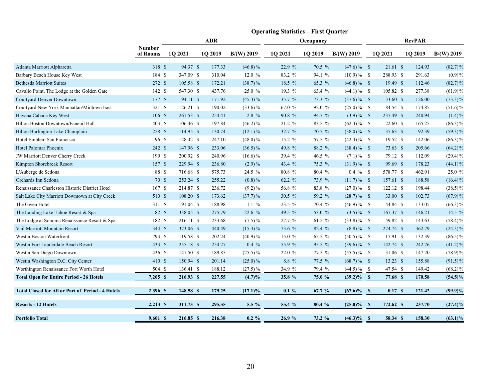|                                                          | <b>Operating Statistics - First Quarter</b> |             |         |              |          |                |               |              |                  |  |               |              |  |
|----------------------------------------------------------|---------------------------------------------|-------------|---------|--------------|----------|----------------|---------------|--------------|------------------|--|---------------|--------------|--|
|                                                          |                                             |             | ADR     |              |          | Occupancy      |               |              |                  |  | <b>RevPAR</b> |              |  |
|                                                          | Number<br>of Rooms                          | 1O 2021     | 1Q 2019 | $B/(W)$ 2019 | 1O 2021  | <b>1O 2019</b> | $B/(W)$ 2019  |              | 1O 2021          |  | 1Q 2019       | $B/(W)$ 2019 |  |
| Atlanta Marriott Alpharetta                              | 318 \$                                      | 94.37 \$    | 177.33  | $(46.8)\%$   | 22.9 %   | 70.5 %         | $(47.6)\%$ \$ |              | $21.61 \text{ }$ |  | 124.93        | $(82.7)\%$   |  |
| Barbary Beach House Key West                             | 184 \$                                      | 347.09 \$   | 310.04  | 12.0 %       | 83.2 %   | 94.1 %         | $(10.9)\%$ \$ |              | 288.93 \$        |  | 291.63        | $(0.9)\%$    |  |
| <b>Bethesda Marriott Suites</b>                          | 272 \$                                      | 105.58 \$   | 172.21  | $(38.7)\%$   | 18.5 %   | 65.3 %         | $(46.8)\%$ \$ |              | 19.49 \$         |  | 112.46        | $(82.7)\%$   |  |
| Cavallo Point, The Lodge at the Golden Gate              | 142 \$                                      | 547.30 \$   | 437.76  | $25.0\,$ %   | 19.3 %   | 63.4 %         | $(44.1)\%$ \$ |              | 105.82 \$        |  | 277.38        | $(61.9)\%$   |  |
| Courtyard Denver Downtown                                | 177S                                        | 94.11 \$    | 171.92  | $(45.3)\%$   | 35.7 %   | 73.3 %         | $(37.6)\%$ \$ |              | 33.60 \$         |  | 126.00        | $(73.3)\%$   |  |
| Courtyard New York Manhattan/Midtown East                | 321 \$                                      | $126.21$ \$ | 190.02  | $(33.6)\%$   | 67.0 %   | 92.0 %         | $(25.0)\%$ \$ |              | 84.54 \$         |  | 174.85        | $(51.6)\%$   |  |
| Havana Cabana Key West                                   | 106S                                        | 261.53 \$   | 254.41  | 2.8 %        | 90.8 %   | 94.7 %         | $(3.9)\%$ \$  |              | 237.49 \$        |  | 240.94        | $(1.4)\%$    |  |
| Hilton Boston Downtown/Faneuil Hall                      | 403 \$                                      | 106.46 \$   | 197.84  | $(46.2)\%$   | 21.2 %   | 83.5 %         | $(62.3)\%$ \$ |              | 22.60 \$         |  | 165.25        | $(86.3)\%$   |  |
| Hilton Burlington Lake Champlain                         | 258 \$                                      | 114.95 \$   | 130.74  | $(12.1)\%$   | 32.7 %   | 70.7 %         | $(38.0)\%$ \$ |              | 37.63 \$         |  | 92.39         | $(59.3)\%$   |  |
| Hotel Emblem San Francisco                               | 96 \$                                       | 128.42 \$   | 247.10  | $(48.0)\%$   | 15.2 %   | 57.5 %         | $(42.3)\%$ \$ |              | 19.52 \$         |  | 142.06        | $(86.3)\%$   |  |
| Hotel Palomar Phoenix                                    | 242 \$                                      | 147.96 \$   | 233.06  | $(36.5)\%$   | 49.8 %   | 88.2 %         | $(38.4)\%$ \$ |              | 73.63 \$         |  | 205.66        | $(64.2)\%$   |  |
| JW Marriott Denver Cherry Creek                          | 199 \$                                      | 200.92 \$   | 240.96  | $(16.6)\%$   | 39.4 %   | 46.5 %         | $(7.1)\%$ \$  |              | 79.12 \$         |  | 112.09        | $(29.4)\%$   |  |
| Kimpton Shorebreak Resort                                | 157 \$                                      | 229.94 \$   | 236.80  | $(2.9)\%$    | 43.4 %   | 75.3 %         | $(31.9)\%$ \$ |              | 99.69 \$         |  | 178.23        | $(44.1)\%$   |  |
| L'Auberge de Sedona                                      | 88 \$                                       | 716.68 \$   | 575.73  | 24.5 %       | 80.8 %   | 80.4 %         | $0.4 \%$ \$   |              | 578.77 \$        |  | 462.91        | 25.0 %       |  |
| Orchards Inn Sedona                                      | 70 \$                                       | 253.24 \$   | 255.22  | $(0.8)\%$    | 62.2 %   | 73.9 %         | $(11.7)\%$ \$ |              | 157.61 \$        |  | 188.58        | $(16.4)\%$   |  |
| Renaissance Charleston Historic District Hotel           | 167 \$                                      | 214.87 \$   | 236.72  | $(9.2)\%$    | 56.8 %   | 83.8 %         | $(27.0)\%$ \$ |              | $122.12$ \$      |  | 198.44        | $(38.5)\%$   |  |
| Salt Lake City Marriott Downtown at City Creek           | 510 \$                                      | 108.20 \$   | 173.62  | $(37.7)\%$   | 30.5 %   | 59.2 %         | $(28.7)\%$ \$ |              | 33.00 \$         |  | 102.73        | $(67.9)\%$   |  |
| The Gwen Hotel                                           | 311 \$                                      | 191.04 \$   | 188.98  | $1.1\%$      | 23.5 %   | 70.4 %         | $(46.9)\%$ \$ |              | 44.84 \$         |  | 133.05        | $(66.3)\%$   |  |
| The Landing Lake Tahoe Resort & Spa                      | 82 \$                                       | 338.05 \$   | 275.79  | 22.6 %       | 49.5 %   | 53.0 %         | $(3.5)\%$ \$  |              | 167.37 S         |  | 146.21        | 14.5 %       |  |
| The Lodge at Sonoma Renaissance Resort & Spa             | 182 \$                                      | 216.11 \$   | 233.68  | $(7.5)\%$    | 27.7 %   | 61.5 %         | $(33.8)\%$ \$ |              | 59.82 \$         |  | 143.63        | $(58.4)\%$   |  |
| Vail Marriott Mountain Resort                            | 344 \$                                      | 373.06 \$   | 440.49  | $(15.3)\%$   | 73.6 %   | 82.4 %         | $(8.8)\%$ \$  |              | 274.74 \$        |  | 362.79        | $(24.3)\%$   |  |
| Westin Boston Waterfront                                 | 793 \$                                      | 119.58 \$   | 202.24  | $(40.9)\%$   | 15.0 %   | 65.5 %         | $(50.5)\%$ \$ |              | 17.91 \$         |  | 132.39        | $(86.5)\%$   |  |
| Westin Fort Lauderdale Beach Resort                      | 433 \$                                      | 255.18 \$   | 254.27  | $0.4\%$      | 55.9 %   | 95.5 %         | $(39.6)\%$ \$ |              | 142.74 \$        |  | 242.76        | $(41.2)\%$   |  |
| Westin San Diego Downtown                                | 436 \$                                      | 141.50 \$   | 189.85  | $(25.5)\%$   | 22.0 %   | 77.5 %         | $(55.5)\%$ \$ |              | 31.06 \$         |  | 147.20        | $(78.9)\%$   |  |
| Westin Washington D.C. City Center                       | 410 \$                                      | 150.94 \$   | 201.14  | $(25.0)\%$   | $8.8\%$  | 77.5 %         | $(68.7)\%$ \$ |              | 13.23 \$         |  | 155.88        | $(91.5)\%$   |  |
| Worthington Renaissance Fort Worth Hotel                 | 504 \$                                      | 136.41 \$   | 188.12  | $(27.5)\%$   | 34.9 %   | 79.4 %         | $(44.5)\%$    | $\mathbb{S}$ | 47.54 \$         |  | 149.42        | $(68.2)\%$   |  |
| <b>Total Open for Entire Period - 26 Hotels</b>          | $7,205$ \$                                  | 216.93 \$   | 227.55  | $(4.7)\%$    | 35.8 %   | 75.0 %         | $(39.2)\%$    | $\mathbf{s}$ | 77.68 \$         |  | 170.58        | $(54.5)\%$   |  |
| <b>Total Closed for All or Part of Period - 4 Hotels</b> | 2,396 \$                                    | 148.58 \$   | 179.25  | $(17.1)\%$   | $0.1 \%$ | 67.7%          | $(67.6)\%$    | - \$         | 0.17S            |  | 121.42        | $(99.9)\%$   |  |
| <b>Resorts - 12 Hotels</b>                               | $2,213$ \$                                  | 311.73 \$   | 295.55  | 5.5 %        | 55.4 %   | 80.4 %         | $(25.0)\%$    | <b>S</b>     | 172.62 \$        |  | 237.70        | $(27.4)\%$   |  |
| <b>Portfolio Total</b>                                   | 9,601 \$                                    | 216.85 \$   | 216.38  | $0.2 \%$     | 26.9 %   | 73.2 %         | $(46.3)\%$    | - \$         | 58.34 \$         |  | 158.30        | $(63.1)\%$   |  |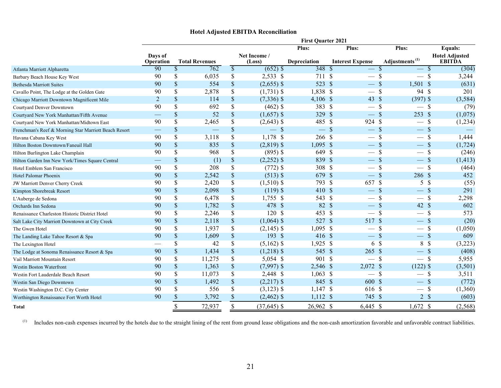### **Hotel Adjusted EBITDA Reconciliation**

|                                                       |                          |                           |                       |                           |                        | <b>First Quarter 2021</b> |                                |                           |                            |                                        |
|-------------------------------------------------------|--------------------------|---------------------------|-----------------------|---------------------------|------------------------|---------------------------|--------------------------------|---------------------------|----------------------------|----------------------------------------|
|                                                       |                          |                           |                       |                           |                        | Plus:                     | Plus:                          |                           | Plus:                      | Equals:                                |
|                                                       | Days of<br>Operation     |                           | <b>Total Revenues</b> |                           | Net Income /<br>(Loss) | <b>Depreciation</b>       | <b>Interest Expense</b>        |                           | Adjustments <sup>(1)</sup> | <b>Hotel Adjusted</b><br><b>EBITDA</b> |
| Atlanta Marriott Alpharetta                           | 90                       | \$                        | 762                   | $\sqrt{\frac{2}{5}}$      | $(652)$ \$             | 348S                      |                                | -S                        | -S                         | (304)                                  |
| Barbary Beach House Key West                          | 90                       | \$                        | 6,035                 | \$                        | 2,533 \$               | 711 \$                    |                                |                           | <sup>S</sup>               | 3,244                                  |
| <b>Bethesda Marriott Suites</b>                       | 90                       | \$                        | 554                   | \$                        | $(2,655)$ \$           | 523                       | -\$                            | <sup>8</sup>              | $1,501$ \$                 | (631)                                  |
| Cavallo Point, The Lodge at the Golden Gate           | 90                       | \$                        | 2,878                 | \$                        | $(1,731)$ \$           | 1,838                     | -\$                            | S                         | 94<br>-\$                  | 201                                    |
| Chicago Marriott Downtown Magnificent Mile            | $\overline{2}$           | $\mathsf{\$}$             | 114                   | \$                        | $(7,336)$ \$           | 4,106 \$                  | 43                             | -S                        | $(397)$ \$                 | (3,584)                                |
| Courtyard Denver Downtown                             | 90                       | \$                        | 692                   | \$                        | $(462)$ \$             | 383S                      |                                | $\boldsymbol{\mathsf{S}}$ | <sup>\$</sup>              | (79)                                   |
| Courtyard New York Manhattan/Fifth Avenue             | $\overline{\phantom{0}}$ | $\boldsymbol{\mathsf{S}}$ | 52                    | \$                        | $(1,657)$ \$           | 329                       | -\$                            | -S                        | 253<br>$\mathcal{S}$       | (1,075)                                |
| Courtyard New York Manhattan/Midtown East             | 90                       | \$                        | 2,465                 | \$                        | $(2,643)$ \$           | 485 \$                    | 924                            | -S                        | <sup>\$</sup>              | (1,234)                                |
| Frenchman's Reef & Morning Star Marriott Beach Resort | $\qquad \qquad -$        | \$                        |                       | $\$$                      | $-$ \$                 |                           | -S                             | -S                        | -S                         |                                        |
| Havana Cabana Key West                                | 90                       | $\overline{\mathbb{S}}$   | 3,118                 | \$                        | $1,178$ \$             | 266 \$                    |                                | <sup>\$</sup>             | <sup>S</sup>               | 1,444                                  |
| Hilton Boston Downtown/Faneuil Hall                   | 90                       | $\$$                      | 835                   | \$                        | $(2,819)$ \$           | $1,095$ \$                |                                | <sup>S</sup>              | <sup>S</sup>               | (1, 724)                               |
| Hilton Burlington Lake Champlain                      | 90                       | $\overline{\mathbb{S}}$   | 968                   | \$                        | $(895)$ \$             | 649 \$                    |                                | -S                        | <sup>S</sup>               | (246)                                  |
| Hilton Garden Inn New York/Times Square Central       |                          | \$                        | (1)                   | $\boldsymbol{\mathsf{S}}$ | $(2,252)$ \$           | 839 \$                    |                                | S                         | <sup>S</sup>               | (1, 413)                               |
| Hotel Emblem San Francisco                            | 90                       | \$                        | 208                   | \$                        | $(772)$ \$             | 308S                      |                                | S                         | <sup>\$</sup>              | (464)                                  |
| Hotel Palomar Phoenix                                 | 90                       | $\boldsymbol{\mathsf{S}}$ | 2,542                 | $\mathbb S$               | $(513)$ \$             | 679                       | -S                             | <sup>S</sup>              | 286<br><sup>S</sup>        | 452                                    |
| JW Marriott Denver Cherry Creek                       | 90                       | $\overline{\mathcal{S}}$  | 2,420                 | $\overline{\mathbb{S}}$   | $(1,510)$ \$           | 793                       | 657<br>-\$                     | -S                        | 5<br><sup>\$</sup>         | (55)                                   |
| Kimpton Shorebreak Resort                             | 90                       | $\$$                      | 2,098                 | \$                        | $(119)$ \$             | 410                       | -S                             | <sup>\$</sup>             | <sup>S</sup>               | 291                                    |
| L'Auberge de Sedona                                   | 90                       | \$                        | 6,478                 | \$                        | $1,755$ \$             | 543                       | - \$                           | <sup>\$</sup>             | $\mathcal{S}$              | 2,298                                  |
| Orchards Inn Sedona                                   | 90                       | $\mathbb{S}$              | 1,782                 | $\boldsymbol{\$}$         | 478 \$                 | 82                        | -\$                            | <sup>S</sup>              | 42<br><sup>S</sup>         | 602                                    |
| Renaissance Charleston Historic District Hotel        | 90                       | \$                        | 2,246                 | \$                        | 120S                   | 453                       | -S                             | -S                        | $\boldsymbol{\mathsf{S}}$  | 573                                    |
| Salt Lake City Marriott Downtown at City Creek        | 90                       | $\mathsf{\$}$             | 2,118                 | $\boldsymbol{\mathsf{S}}$ | $(1,064)$ \$           | 527                       | -S<br>517 \$                   |                           | -S                         | (20)                                   |
| The Gwen Hotel                                        | 90                       | \$                        | 1,937                 | \$                        | $(2,145)$ \$           | $1,095$ \$                |                                |                           | S                          | (1,050)                                |
| The Landing Lake Tahoe Resort & Spa                   | 90                       | $\mathsf{\$}$             | 1,609                 | \$                        | 193S                   | 416S                      |                                | -S                        | <sup>S</sup>               | 609                                    |
| The Lexington Hotel                                   |                          | \$                        | 42                    | \$                        | $(5,162)$ \$           | $1,925$ \$                | 6                              | <sup>\$</sup>             | 8<br><sup>\$</sup>         | (3,223)                                |
| The Lodge at Sonoma Renaissance Resort & Spa          | 90                       | $\$$                      | 1,434                 | $\boldsymbol{\mathsf{S}}$ | $(1,218)$ \$           | 545 \$                    | 265                            | -\$                       | <sup>S</sup>               | (408)                                  |
| Vail Marriott Mountain Resort                         | 90                       | \$                        | 11,275                | \$                        | 5,054 \$               | 901                       | -S<br>$\overline{\phantom{0}}$ | <sup>\$</sup>             | \$                         | 5,955                                  |
| <b>Westin Boston Waterfront</b>                       | 90                       | $\boldsymbol{\mathsf{S}}$ | 1,363                 | \$                        | $(7,997)$ \$           | 2,546 \$                  | 2,072                          | - \$                      | $(122)$ \$                 | (3,501)                                |
| Westin Fort Lauderdale Beach Resort                   | 90                       | \$                        | 11,073                | \$                        | $2,448$ \$             | $1,063$ \$                | $\overline{\phantom{a}}$       | $\boldsymbol{\mathsf{S}}$ | -S                         | 3,511                                  |
| Westin San Diego Downtown                             | 90                       | $\$$                      | 1,492                 | $\$$                      | $(2,217)$ \$           | 845 \$                    | 600                            | $\mathcal{S}$             | <sup>S</sup>               | (772)                                  |
| Westin Washington D.C. City Center                    | 90                       | \$                        | 556                   | \$                        | $(3,123)$ \$           | $1,147$ \$                | 616 \$                         |                           | \$                         | (1,360)                                |
| Worthington Renaissance Fort Worth Hotel              | 90                       | \$                        | 3,792                 | \$                        | $(2,462)$ \$           | $1,112$ \$                | 745 \$                         |                           | $2 \sqrt{s}$               | (603)                                  |
| Total                                                 |                          | \$                        | 72,937                | \$                        | $(37,645)$ \$          | 26,962 \$                 | $6,445$ \$                     |                           | $1,672$ \$                 | (2, 568)                               |

(1) Includes non-cash expenses incurred by the hotels due to the straight lining of the rent from ground lease obligations and the non-cash amortization favorable and unfavorable contract liabilities.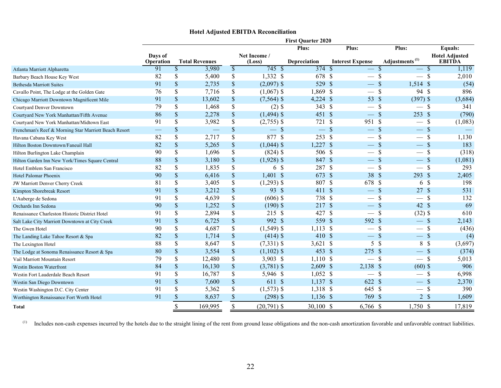|  | <b>Hotel Adjusted EBITDA Reconciliation</b> |
|--|---------------------------------------------|
|--|---------------------------------------------|

|                                                       | <b>First Ouarter 2020</b> |                           |                       |                           |                        |                     |               |                         |                           |                            |                                        |  |
|-------------------------------------------------------|---------------------------|---------------------------|-----------------------|---------------------------|------------------------|---------------------|---------------|-------------------------|---------------------------|----------------------------|----------------------------------------|--|
|                                                       |                           |                           |                       |                           |                        | Plus:               |               | Plus:                   |                           | Plus:                      | Equals:                                |  |
|                                                       | Days of<br>Operation      |                           | <b>Total Revenues</b> |                           | Net Income /<br>(Loss) | <b>Depreciation</b> |               | <b>Interest Expense</b> |                           | Adjustments <sup>(1)</sup> | <b>Hotel Adjusted</b><br><b>EBITDA</b> |  |
| Atlanta Marriott Alpharetta                           | 91                        | <sup>S</sup>              | 3,980                 | $\overline{\mathcal{S}}$  | 745S                   | 374                 | -S            |                         | <sup>\$</sup>             |                            | <sup>S</sup><br>1,119                  |  |
| Barbary Beach House Key West                          | 82                        | \$                        | 5,400                 | \$                        | $1,332$ \$             | 678 \$              |               |                         | <sup>\$</sup>             | $\overline{\phantom{0}}$   | <sup>S</sup><br>2,010                  |  |
| <b>Bethesda Marriott Suites</b>                       | 91                        | \$                        | 2,735                 | $\mathbb S$               | $(2,097)$ \$           | 529                 | - \$          |                         | <sup>S</sup>              | $1,514$ \$                 | (54)                                   |  |
| Cavallo Point, The Lodge at the Golden Gate           | 76                        | \$                        | 7,716                 | \$                        | $(1,067)$ \$           | $1,869$ \$          |               |                         | \$                        | 94S                        | 896                                    |  |
| Chicago Marriott Downtown Magnificent Mile            | 91                        | \$                        | 13,602                | $\sqrt{\ }$               | $(7,564)$ \$           | $4,224$ \$          |               | 53                      | -S                        | $(397)$ \$                 | (3,684)                                |  |
| Courtyard Denver Downtown                             | 79                        | \$                        | 1,468                 | \$                        | $(2)$ \$               | 343 \$              |               |                         | S                         |                            | 341<br>-\$                             |  |
| Courtyard New York Manhattan/Fifth Avenue             | 86                        | \$                        | 2,278                 | $\mathcal{S}$             | $(1,494)$ \$           | 451S                |               |                         | <sup>S</sup>              | 253S                       | (790)                                  |  |
| Courtyard New York Manhattan/Midtown East             | 91                        | \$                        | 3,982                 | \$                        | $(2,755)$ \$           | 721                 | -S            | 951 \$                  |                           |                            | (1,083)<br>-S                          |  |
| Frenchman's Reef & Morning Star Marriott Beach Resort | $\qquad \qquad$           | \$                        |                       | $\boldsymbol{\mathsf{S}}$ | $-$ \$                 |                     | $\mathcal{S}$ |                         | -S                        | $\overline{\phantom{0}}$   | -S                                     |  |
| Havana Cabana Key West                                | 82                        | \$                        | 2,717                 | \$                        | 877 \$                 | 253S                |               |                         | S                         |                            | \$<br>1,130                            |  |
| Hilton Boston Downtown/Faneuil Hall                   | 82                        | \$                        | 5,265                 | $\mathcal{S}$             | $(1,044)$ \$           | $1,227$ \$          |               |                         | <sup>3</sup>              |                            | 183<br><sup>S</sup>                    |  |
| Hilton Burlington Lake Champlain                      | 90                        | \$                        | 1,696                 | \$                        | $(824)$ \$             | 506 \$              |               |                         | <sup>\$</sup>             |                            | (318)<br>S                             |  |
| Hilton Garden Inn New York/Times Square Central       | 88                        | \$                        | 3,180                 | $\boldsymbol{\mathsf{S}}$ | $(1,928)$ \$           | 847                 | <sup>S</sup>  |                         | <sup>8</sup>              |                            | (1,081)<br>-S                          |  |
| Hotel Emblem San Francisco                            | 82                        | \$                        | 1,835                 | \$                        | 6 \$                   | 287                 | \$            |                         | $\boldsymbol{\mathsf{S}}$ |                            | 293<br><sup>\$</sup>                   |  |
| Hotel Palomar Phoenix                                 | 90                        | \$                        | 6,416                 | $\$$                      | $1,401$ \$             | 673                 | $\mathcal{S}$ | 38                      | -S                        | 293                        | 2,405<br>-S                            |  |
| JW Marriott Denver Cherry Creek                       | 81                        | \$                        | 3,405                 | \$                        | $(1,293)$ \$           | 807                 | $\mathcal{S}$ | 678                     | -\$                       | 6                          | $\mathcal{S}$<br>198                   |  |
| Kimpton Shorebreak Resort                             | 91                        | $\boldsymbol{\$}$         | 3,212                 | $\boldsymbol{\mathsf{S}}$ | 93 \$                  | 411S                |               |                         | -S                        | 27                         | $\mathcal{S}$<br>531                   |  |
| L'Auberge de Sedona                                   | 91                        | $\overline{\$}$           | 4,639                 | \$                        | $(606)$ \$             | 738 \$              |               |                         | <sup>\$</sup>             |                            | 132<br>-S                              |  |
| Orchards Inn Sedona                                   | 90                        | $\boldsymbol{\mathsf{S}}$ | 1,252                 | $\sqrt{\frac{2}{\pi}}$    | $(190)$ \$             | 217 \$              |               |                         | <sup>S</sup>              | $42 \text{ }$              | 69                                     |  |
| Renaissance Charleston Historic District Hotel        | 91                        | \$                        | 2,894                 | \$                        | 215 \$                 | 427                 | -S            |                         | <sup>\$</sup>             | $(32)$ \$                  | 610                                    |  |
| Salt Lake City Marriott Downtown at City Creek        | 91                        | \$                        | 6,725                 | $\boldsymbol{\mathsf{S}}$ | 992 \$                 | 559 \$              |               | 592                     | -S                        | $\overline{\phantom{0}}$   | 2,143<br>-S                            |  |
| The Gwen Hotel                                        | 90                        | \$                        | 4,687                 | \$                        | $(1,549)$ \$           | $1,113$ \$          |               |                         | S                         |                            | (436)<br>\$                            |  |
| The Landing Lake Tahoe Resort & Spa                   | 82                        | \$                        | 1,714                 | $\mathbb{S}$              | $(414)$ \$             | 410 \$              |               |                         | -S                        |                            | - \$<br>(4)                            |  |
| The Lexington Hotel                                   | 88                        | \$                        | 8,647                 | \$                        | $(7,331)$ \$           | $3,621$ \$          |               | 5                       | - \$                      | 8                          | $\boldsymbol{\mathsf{S}}$<br>(3,697)   |  |
| The Lodge at Sonoma Renaissance Resort & Spa          | 80                        | \$                        | 3,554                 | $\mathcal{S}$             | $(1,102)$ \$           | 453 \$              |               | 275                     | $\mathcal{S}$             |                            | (374)<br>-S                            |  |
| Vail Marriott Mountain Resort                         | 79                        | \$                        | 12,480                | \$                        | 3,903 \$               | 1,110S              |               |                         | <sup>\$</sup>             |                            | 5,013<br>-S                            |  |
| <b>Westin Boston Waterfront</b>                       | 84                        | \$                        | 16,130                | $\boldsymbol{\mathsf{S}}$ | $(3,781)$ \$           | $2,609$ \$          |               | 2,138                   | - \$                      | $(60)$ \$                  | 906                                    |  |
| Westin Fort Lauderdale Beach Resort                   | 91                        | \$                        | 16,787                | \$                        | $5,946$ \$             | $1,052$ \$          |               |                         | $\boldsymbol{\mathsf{S}}$ |                            | 6,998<br>-S                            |  |
| Westin San Diego Downtown                             | 91                        | \$                        | 7,600                 | $\mathbb{S}$              | 611 \$                 | $1,137$ \$          |               | 622                     | -\$                       |                            | 2,370<br>-S                            |  |
| Westin Washington D.C. City Center                    | 91                        | $\overline{\$}$           | 5,362                 | \$                        | $(1,573)$ \$           | $1,318$ \$          |               | 645 \$                  |                           |                            | 390<br>$\boldsymbol{\mathsf{S}}$       |  |
| Worthington Renaissance Fort Worth Hotel              | 91                        | \$                        | 8,637                 | $\boldsymbol{\mathsf{S}}$ | $(298)$ \$             | $1,136$ \$          |               | 769 \$                  |                           | $2 \text{ s}$              | 1,609                                  |  |
| <b>Total</b>                                          |                           | \$                        | 169,995               | \$                        | $(20,791)$ \$          | $30,100$ \$         |               | 6,766 \$                |                           | $1,750$ \$                 | 17,819                                 |  |

(1) Includes non-cash expenses incurred by the hotels due to the straight lining of the rent from ground lease obligations and the non-cash amortization favorable and unfavorable contract liabilities.